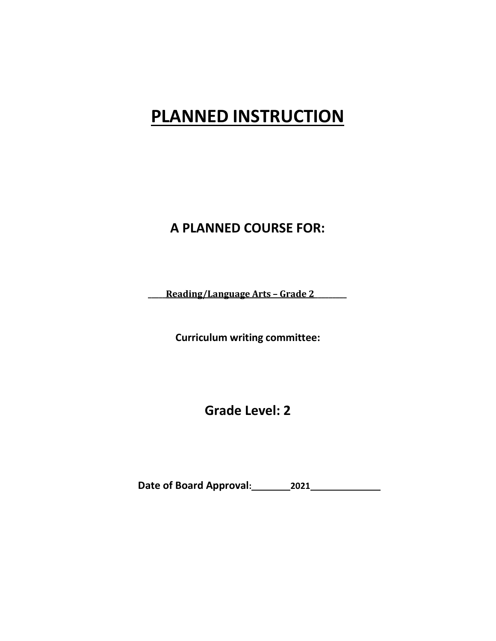# **PLANNED INSTRUCTION**

# **A PLANNED COURSE FOR:**

**\_\_\_\_\_Reading/Language Arts – Grade 2\_\_\_\_\_\_\_\_\_**

**Curriculum writing committee:**

**Grade Level: 2**

**Date of Board Approval: 2021**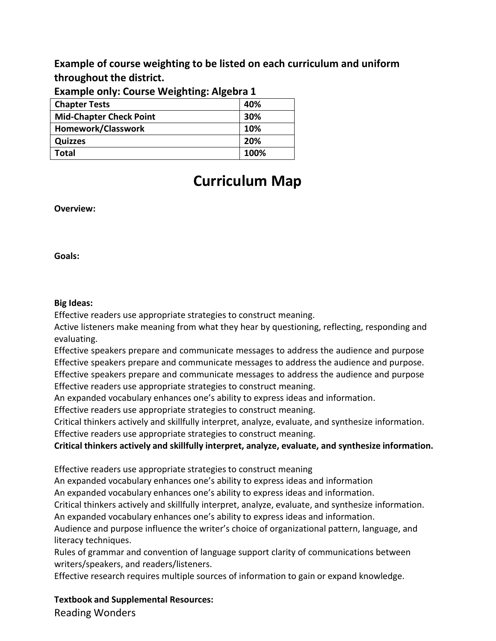**Example of course weighting to be listed on each curriculum and uniform throughout the district.**

| LAGINDIC UNIV. COUISE VICISIIUIIS. AISCUI 4 1 |      |
|-----------------------------------------------|------|
| <b>Chapter Tests</b>                          | 40%  |
| <b>Mid-Chapter Check Point</b>                | 30%  |
| Homework/Classwork                            | 10%  |
| <b>Quizzes</b>                                | 20%  |
| Total                                         | 100% |

# **Example only: Course Weighting: Algebra 1**

# **Curriculum Map**

**Overview:**

**Goals:**

# **Big Ideas:**

Effective readers use appropriate strategies to construct meaning.

Active listeners make meaning from what they hear by questioning, reflecting, responding and evaluating.

Effective speakers prepare and communicate messages to address the audience and purpose Effective speakers prepare and communicate messages to address the audience and purpose. Effective speakers prepare and communicate messages to address the audience and purpose

Effective readers use appropriate strategies to construct meaning.

An expanded vocabulary enhances one's ability to express ideas and information.

Effective readers use appropriate strategies to construct meaning.

Critical thinkers actively and skillfully interpret, analyze, evaluate, and synthesize information.

Effective readers use appropriate strategies to construct meaning.

**Critical thinkers actively and skillfully interpret, analyze, evaluate, and synthesize information.**

Effective readers use appropriate strategies to construct meaning

An expanded vocabulary enhances one's ability to express ideas and information

An expanded vocabulary enhances one's ability to express ideas and information.

Critical thinkers actively and skillfully interpret, analyze, evaluate, and synthesize information. An expanded vocabulary enhances one's ability to express ideas and information.

Audience and purpose influence the writer's choice of organizational pattern, language, and literacy techniques.

Rules of grammar and convention of language support clarity of communications between writers/speakers, and readers/listeners.

Effective research requires multiple sources of information to gain or expand knowledge.

**Textbook and Supplemental Resources:** Reading Wonders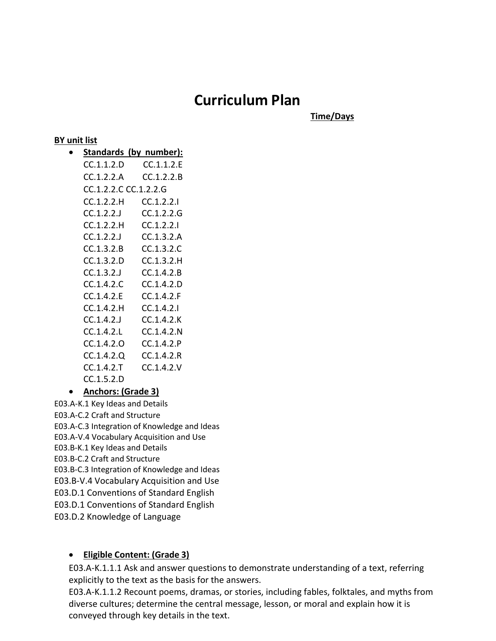# **Curriculum Plan**

**Time/Days**

# **BY unit list**

• **Standards (by number):** CC.1.1.2.D CC.1.1.2.E CC.1.2.2.A CC.1.2.2.B CC.1.2.2.C CC.1.2.2.G CC.1.2.2.H CC.1.2.2.I CC.1.2.2.J CC.1.2.2.G CC.1.2.2.H CC.1.2.2.I CC.1.2.2.J CC.1.3.2.A CC.1.3.2.B CC.1.3.2.C CC.1.3.2.D CC.1.3.2.H CC.1.3.2.J CC.1.4.2.B CC.1.4.2.C CC.1.4.2.D CC.1.4.2.E CC.1.4.2.F CC.1.4.2.H CC.1.4.2.I CC.1.4.2.J CC.1.4.2.K CC.1.4.2.L CC.1.4.2.N CC.1.4.2.O CC.1.4.2.P CC.1.4.2.Q CC.1.4.2.R CC.1.4.2.T CC.1.4.2.V CC.1.5.2.D

# • **Anchors: (Grade 3)**

E03.A-K.1 Key Ideas and Details E03.A-C.2 Craft and Structure E03.A-C.3 Integration of Knowledge and Ideas E03.A-V.4 Vocabulary Acquisition and Use E03.B-K.1 Key Ideas and Details E03.B-C.2 Craft and Structure E03.B-C.3 Integration of Knowledge and Ideas E03.B-V.4 Vocabulary Acquisition and Use

E03.D.1 Conventions of Standard English

E03.D.1 Conventions of Standard English

E03.D.2 Knowledge of Language

# • **Eligible Content: (Grade 3)**

E03.A-K.1.1.1 Ask and answer questions to demonstrate understanding of a text, referring explicitly to the text as the basis for the answers.

E03.A-K.1.1.2 Recount poems, dramas, or stories, including fables, folktales, and myths from diverse cultures; determine the central message, lesson, or moral and explain how it is conveyed through key details in the text.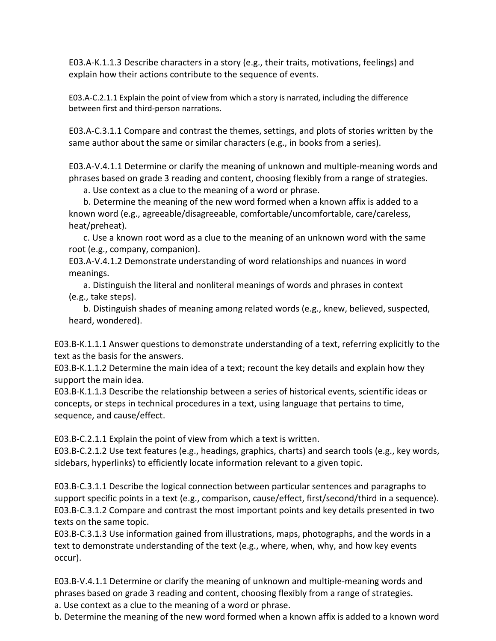E03.A-K.1.1.3 Describe characters in a story (e.g., their traits, motivations, feelings) and explain how their actions contribute to the sequence of events.

E03.A-C.2.1.1 Explain the point of view from which a story is narrated, including the difference between first and third-person narrations.

E03.A-C.3.1.1 Compare and contrast the themes, settings, and plots of stories written by the same author about the same or similar characters (e.g., in books from a series).

E03.A-V.4.1.1 Determine or clarify the meaning of unknown and multiple-meaning words and phrases based on grade 3 reading and content, choosing flexibly from a range of strategies.

a. Use context as a clue to the meaning of a word or phrase.

b. Determine the meaning of the new word formed when a known affix is added to a known word (e.g., agreeable/disagreeable, comfortable/uncomfortable, care/careless, heat/preheat).

c. Use a known root word as a clue to the meaning of an unknown word with the same root (e.g., company, companion).

E03.A-V.4.1.2 Demonstrate understanding of word relationships and nuances in word meanings.

a. Distinguish the literal and nonliteral meanings of words and phrases in context (e.g., take steps).

b. Distinguish shades of meaning among related words (e.g., knew, believed, suspected, heard, wondered).

E03.B-K.1.1.1 Answer questions to demonstrate understanding of a text, referring explicitly to the text as the basis for the answers.

E03.B-K.1.1.2 Determine the main idea of a text; recount the key details and explain how they support the main idea.

E03.B-K.1.1.3 Describe the relationship between a series of historical events, scientific ideas or concepts, or steps in technical procedures in a text, using language that pertains to time, sequence, and cause/effect.

E03.B-C.2.1.1 Explain the point of view from which a text is written.

E03.B-C.2.1.2 Use text features (e.g., headings, graphics, charts) and search tools (e.g., key words, sidebars, hyperlinks) to efficiently locate information relevant to a given topic.

E03.B-C.3.1.1 Describe the logical connection between particular sentences and paragraphs to support specific points in a text (e.g., comparison, cause/effect, first/second/third in a sequence). E03.B-C.3.1.2 Compare and contrast the most important points and key details presented in two texts on the same topic.

E03.B-C.3.1.3 Use information gained from illustrations, maps, photographs, and the words in a text to demonstrate understanding of the text (e.g., where, when, why, and how key events occur).

E03.B-V.4.1.1 Determine or clarify the meaning of unknown and multiple-meaning words and phrases based on grade 3 reading and content, choosing flexibly from a range of strategies.

a. Use context as a clue to the meaning of a word or phrase.

b. Determine the meaning of the new word formed when a known affix is added to a known word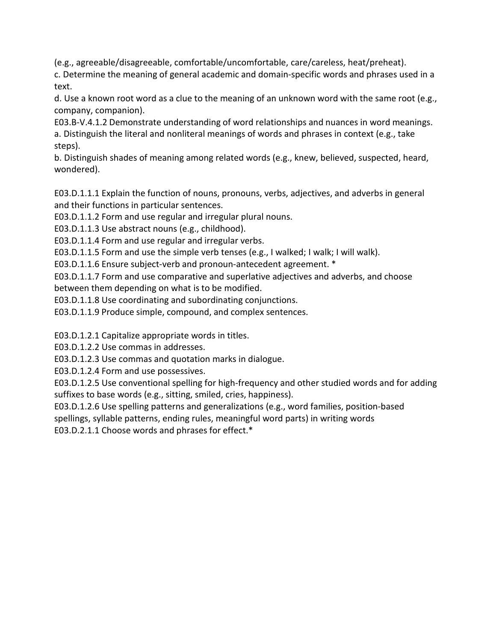(e.g., agreeable/disagreeable, comfortable/uncomfortable, care/careless, heat/preheat).

c. Determine the meaning of general academic and domain-specific words and phrases used in a text.

d. Use a known root word as a clue to the meaning of an unknown word with the same root (e.g., company, companion).

E03.B-V.4.1.2 Demonstrate understanding of word relationships and nuances in word meanings. a. Distinguish the literal and nonliteral meanings of words and phrases in context (e.g., take steps).

b. Distinguish shades of meaning among related words (e.g., knew, believed, suspected, heard, wondered).

E03.D.1.1.1 Explain the function of nouns, pronouns, verbs, adjectives, and adverbs in general and their functions in particular sentences.

E03.D.1.1.2 Form and use regular and irregular plural nouns.

E03.D.1.1.3 Use abstract nouns (e.g., childhood).

E03.D.1.1.4 Form and use regular and irregular verbs.

E03.D.1.1.5 Form and use the simple verb tenses (e.g., I walked; I walk; I will walk).

E03.D.1.1.6 Ensure subject-verb and pronoun-antecedent agreement. \*

E03.D.1.1.7 Form and use comparative and superlative adjectives and adverbs, and choose between them depending on what is to be modified.

E03.D.1.1.8 Use coordinating and subordinating conjunctions.

E03.D.1.1.9 Produce simple, compound, and complex sentences.

E03.D.1.2.1 Capitalize appropriate words in titles.

E03.D.1.2.2 Use commas in addresses.

E03.D.1.2.3 Use commas and quotation marks in dialogue.

E03.D.1.2.4 Form and use possessives.

E03.D.1.2.5 Use conventional spelling for high-frequency and other studied words and for adding suffixes to base words (e.g., sitting, smiled, cries, happiness).

E03.D.1.2.6 Use spelling patterns and generalizations (e.g., word families, position-based spellings, syllable patterns, ending rules, meaningful word parts) in writing words

E03.D.2.1.1 Choose words and phrases for effect.\*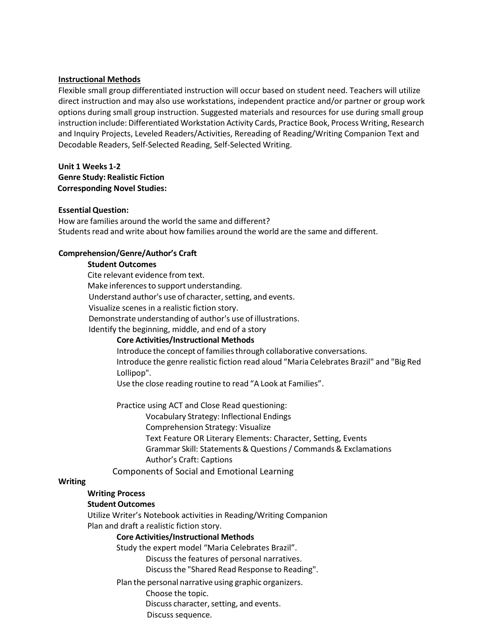#### **Instructional Methods**

Flexible small group differentiated instruction will occur based on student need. Teachers will utilize direct instruction and may also use workstations, independent practice and/or partner or group work options during small group instruction. Suggested materials and resources for use during small group instruction include: Differentiated Workstation Activity Cards, Practice Book, Process Writing, Research and Inquiry Projects, Leveled Readers/Activities, Rereading of Reading/Writing Companion Text and Decodable Readers, Self-Selected Reading, Self-Selected Writing.

# **Unit 1 Weeks 1-2 Genre Study: Realistic Fiction Corresponding Novel Studies:**

#### **Essential Question:**

How are families around the world the same and different? Students read and write about how families around the world are the same and different.

# **Comprehension/Genre/Author's Craft**

# **Student Outcomes**

Cite relevant evidence from text. Make inferences to support understanding. Understand author's use of character, setting, and events. Visualize scenes in a realistic fiction story. Demonstrate understanding of author's use of illustrations. Identify the beginning, middle, and end of a story

# **Core Activities/Instructional Methods**

Introduce the concept of families through collaborative conversations. Introduce the genre realistic fiction read aloud "Maria Celebrates Brazil" and "Big Red Lollipop".

Use the close reading routine to read "A Look at Families".

Practice using ACT and Close Read questioning:

Vocabulary Strategy: Inflectional Endings Comprehension Strategy: Visualize Text Feature OR Literary Elements: Character, Setting, Events Grammar Skill: Statements & Questions/ Commands& Exclamations Author's Craft: Captions

Components of Social and Emotional Learning

#### **Writing**

# **Writing Process**

#### **Student Outcomes**

Utilize Writer's Notebook activities in Reading/Writing Companion Plan and draft a realistic fiction story.

# **Core Activities/Instructional Methods**

Study the expert model "Maria Celebrates Brazil".

Discuss the features of personal narratives.

Discussthe "Shared Read Response to Reading".

Plan the personal narrative using graphic organizers.

Choose the topic.

Discuss character, setting, and events.

Discuss sequence.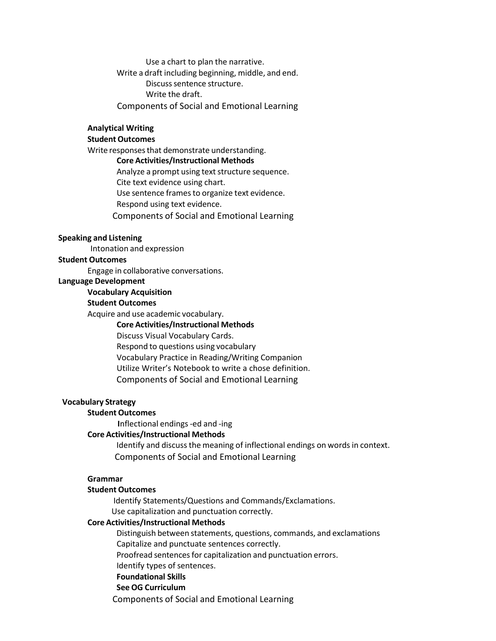Use a chart to plan the narrative. Write a draft including beginning, middle, and end. Discuss sentence structure. Write the draft. Components of Social and Emotional Learning

#### **Analytical Writing**

# **Student Outcomes**

Write responses that demonstrate understanding. **Core Activities/Instructional Methods** Analyze a prompt using text structure sequence. Cite text evidence using chart. Use sentence frames to organize text evidence. Respond using text evidence. Components of Social and Emotional Learning

#### **Speaking and Listening**

Intonation and expression

#### **Student Outcomes**

Engage in collaborative conversations.

#### **Language Development**

#### **Vocabulary Acquisition**

# **Student Outcomes**

Acquire and use academic vocabulary.

#### **Core Activities/Instructional Methods**

Discuss Visual Vocabulary Cards.

Respond to questions using vocabulary

Vocabulary Practice in Reading/Writing Companion

Utilize Writer's Notebook to write a chose definition.

Components of Social and Emotional Learning

#### **Vocabulary Strategy**

#### **Student Outcomes**

**I**nflectional endings-ed and -ing

#### **Core Activities/Instructional Methods**

Identify and discuss the meaning of inflectional endings on words in context. Components of Social and Emotional Learning

# **Grammar**

#### **Student Outcomes**

Identify Statements/Questions and Commands/Exclamations. Use capitalization and punctuation correctly.

#### **Core Activities/Instructional Methods**

Distinguish between statements, questions, commands, and exclamations Capitalize and punctuate sentences correctly.

Proofread sentences for capitalization and punctuation errors.

Identify types of sentences.

# **Foundational Skills**

# **See OG Curriculum**

Components of Social and Emotional Learning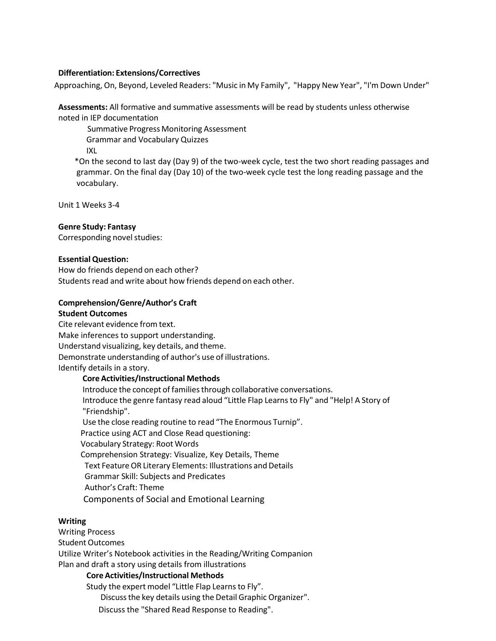#### **Differentiation: Extensions/Correctives**

Approaching, On, Beyond, Leveled Readers: "Music in My Family", "Happy New Year", "I'm Down Under"

**Assessments:** All formative and summative assessments will be read by students unless otherwise noted in IEP documentation

Summative Progress Monitoring Assessment

Grammar and Vocabulary Quizzes

IXL

\*On the second to last day (Day 9) of the two-week cycle, test the two short reading passages and grammar. On the final day (Day 10) of the two-week cycle test the long reading passage and the vocabulary.

Unit 1 Weeks 3-4

#### **Genre Study: Fantasy**

Corresponding novel studies:

#### **Essential Question:**

How do friends depend on each other? Students read and write about how friends depend on each other.

# **Comprehension/Genre/Author's Craft**

#### **Student Outcomes**

Cite relevant evidence from text. Make inferences to support understanding. Understand visualizing, key details, and theme. Demonstrate understanding of author's use of illustrations. Identify details in a story.

# **Core Activities/Instructional Methods**

Introduce the concept of families through collaborative conversations. Introduce the genre fantasy read aloud "Little Flap Learnsto Fly" and "Help! A Story of "Friendship". Use the close reading routine to read "The Enormous Turnip". Practice using ACT and Close Read questioning: Vocabulary Strategy: Root Words Comprehension Strategy: Visualize, Key Details, Theme Text Feature OR Literary Elements: Illustrations and Details Grammar Skill: Subjects and Predicates

Author's Craft: Theme

Components of Social and Emotional Learning

# **Writing**

Writing Process Student Outcomes Utilize Writer's Notebook activities in the Reading/Writing Companion Plan and draft a story using details from illustrations

#### **Core Activities/Instructional Methods**

Study the expert model "Little Flap Learns to Fly". Discussthe key details using the Detail Graphic Organizer". Discuss the "Shared Read Response to Reading".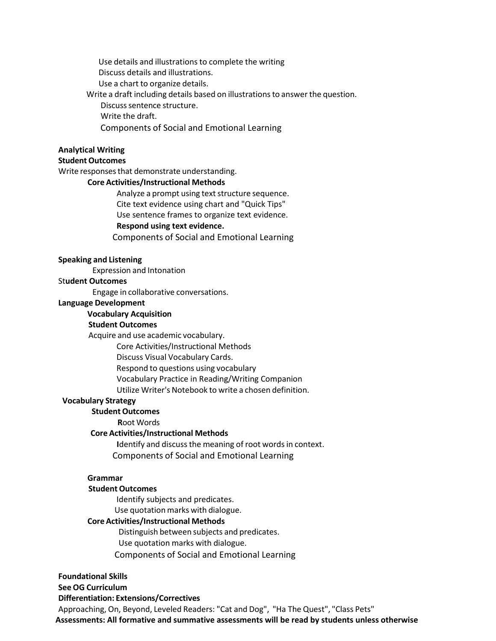Use details and illustrations to complete the writing Discuss details and illustrations.

Use a chart to organize details.

Write a draft including details based on illustrations to answer the question.

Discuss sentence structure.

Write the draft.

Components of Social and Emotional Learning

# **Analytical Writing**

# **Student Outcomes**

Write responses that demonstrate understanding.

#### **Core Activities/Instructional Methods**

Analyze a prompt using text structure sequence.

Cite text evidence using chart and "Quick Tips"

Use sentence frames to organize text evidence.

# **Respond using text evidence.**

Components of Social and Emotional Learning

#### **Speaking and Listening**

Expression and Intonation

# St**udent Outcomes**

Engage in collaborative conversations.

#### **Language Development**

#### **Vocabulary Acquisition**

# **Student Outcomes**

Acquire and use academic vocabulary.

Core Activities/Instructional Methods

Discuss Visual Vocabulary Cards.

Respond to questions using vocabulary

Vocabulary Practice in Reading/Writing Companion

Utilize Writer's Notebook to write a chosen definition.

# **Vocabulary Strategy**

# **Student Outcomes**

**R**oot Words

# **Core Activities/Instructional Methods**

**Identify and discuss the meaning of root words in context.** Components of Social and Emotional Learning

# **Grammar**

# **Student Outcomes**

Identify subjects and predicates. Use quotation marks with dialogue.

# **Core Activities/Instructional Methods**

Distinguish between subjects and predicates. Use quotation marks with dialogue. Components of Social and Emotional Learning

# **Foundational Skills**

# **See OG Curriculum**

# **Differentiation: Extensions/Correctives**

Approaching, On, Beyond, Leveled Readers: "Cat and Dog", "Ha The Quest", "Class Pets"  **Assessments: All formative and summative assessments will be read by students unless otherwise**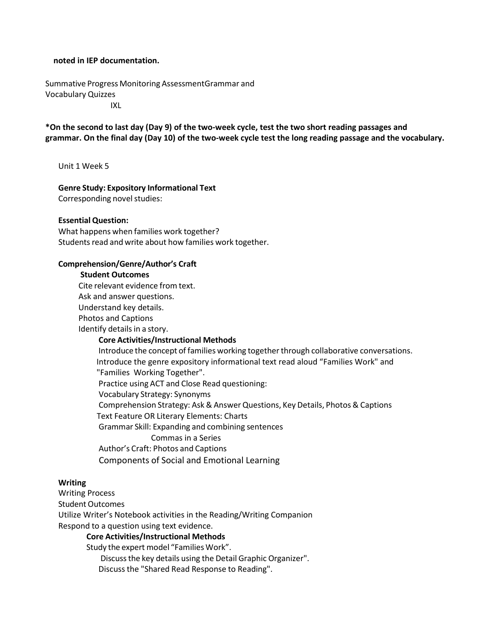#### **noted in IEP documentation.**

Summative Progress Monitoring AssessmentGrammar and Vocabulary Quizzes IXL

**\*On the second to last day (Day 9) of the two-week cycle, test the two short reading passages and grammar. On the final day (Day 10) of the two-week cycle test the long reading passage and the vocabulary.**

Unit 1 Week 5

# **Genre Study: Expository Informational Text**

Corresponding novel studies:

#### **Essential Question:**

What happens when families work together? Students read and write about how families work together.

#### **Comprehension/Genre/Author's Craft**

#### **Student Outcomes**

Cite relevant evidence from text.

Ask and answer questions. Understand key details.

Photos and Captions

Identify details in a story.

#### **Core Activities/Instructional Methods**

Introduce the concept of families working together through collaborative conversations. Introduce the genre expository informational text read aloud "Families Work" and "Families Working Together". Practice using ACT and Close Read questioning: Vocabulary Strategy: Synonyms Comprehension Strategy: Ask & AnswerQuestions, Key Details, Photos & Captions Text Feature OR Literary Elements: Charts Grammar Skill: Expanding and combining sentences Commas in a Series Author's Craft: Photos and Captions Components of Social and Emotional Learning

# **Writing**

Writing Process

Student Outcomes

Utilize Writer's Notebook activities in the Reading/Writing Companion Respond to a question using text evidence.

# **Core Activities/Instructional Methods**

Study the expert model "Families Work".

Discussthe key details using the Detail Graphic Organizer".

Discuss the "Shared Read Response to Reading".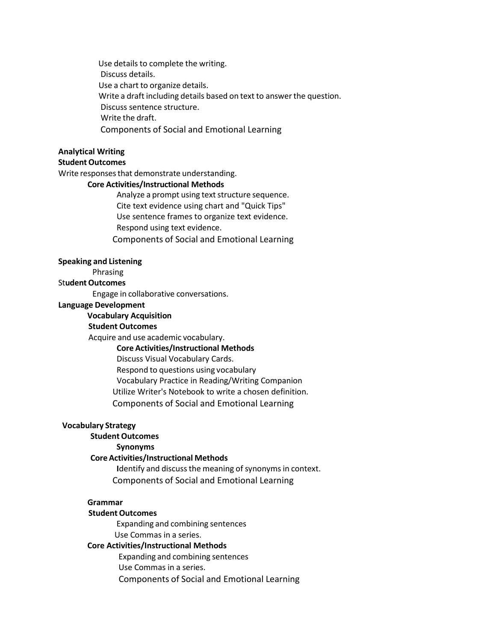Use details to complete the writing. Discuss details. Use a chart to organize details. Write a draft including details based on text to answer the question. Discuss sentence structure. Write the draft. Components of Social and Emotional Learning

# **Analytical Writing**

# **Student Outcomes**

Write responses that demonstrate understanding.

# **Core Activities/Instructional Methods**

Analyze a prompt using text structure sequence. Cite text evidence using chart and "Quick Tips" Use sentence frames to organize text evidence. Respond using text evidence. Components of Social and Emotional Learning

#### **Speaking and Listening**

Phrasing

#### **Student Outcomes**

Engage in collaborative conversations.

#### **Language Development**

#### **Vocabulary Acquisition**

#### **Student Outcomes**

Acquire and use academic vocabulary.

#### **Core Activities/Instructional Methods**

Discuss Visual Vocabulary Cards.

Respond to questions using vocabulary

Vocabulary Practice in Reading/Writing Companion

Utilize Writer's Notebook to write a chosen definition.

Components of Social and Emotional Learning

#### **Vocabulary Strategy**

# **Student Outcomes**

# **Synonyms**

# **Core Activities/Instructional Methods**

Identify and discuss the meaning of synonyms in context. Components of Social and Emotional Learning

# **Grammar**

#### **Student Outcomes**

Expanding and combining sentences Use Commas in a series.

# **Core Activities/Instructional Methods**

Expanding and combining sentences Use Commas in a series. Components of Social and Emotional Learning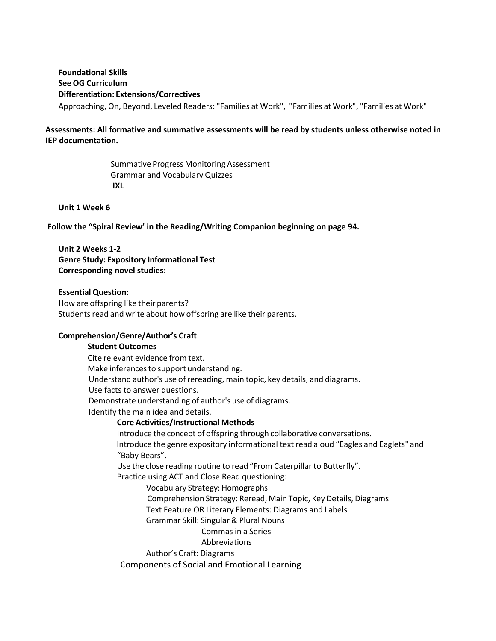**Foundational Skills See OG Curriculum Differentiation: Extensions/Correctives** Approaching, On, Beyond, Leveled Readers: "Families at Work", "Families at Work", "Families at Work"

# **Assessments: All formative and summative assessments will be read by students unless otherwise noted in IEP documentation.**

Summative Progress Monitoring Assessment Grammar and Vocabulary Quizzes **IXL**

#### **Unit 1 Week 6**

**Follow the "Spiral Review' in the Reading/Writing Companion beginning on page 94.**

**Unit 2 Weeks 1-2 Genre Study: Expository Informational Test Corresponding novel studies:**

#### **Essential Question:**

How are offspring like their parents? Students read and write about how offspring are like their parents.

## **Comprehension/Genre/Author's Craft**

**Student Outcomes** Cite relevant evidence from text. Make inferences to support understanding. Understand author's use of rereading, main topic, key details, and diagrams. Use facts to answer questions. Demonstrate understanding of author's use of diagrams. Identify the main idea and details. **Core Activities/Instructional Methods** Introduce the concept of offspring through collaborative conversations. Introduce the genre expository informational text read aloud "Eagles and Eaglets" and "Baby Bears". Use the close reading routine to read "From Caterpillar to Butterfly". Practice using ACT and Close Read questioning: Vocabulary Strategy: Homographs Comprehension Strategy: Reread, Main Topic, Key Details, Diagrams Text Feature OR Literary Elements: Diagrams and Labels Grammar Skill: Singular & Plural Nouns Commas in a Series Abbreviations Author's Craft: Diagrams Components of Social and Emotional Learning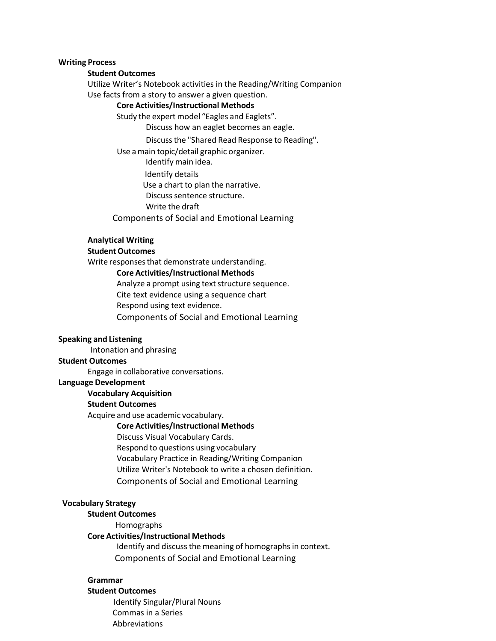#### **Writing Process**

#### **Student Outcomes**

Utilize Writer's Notebook activities in the Reading/Writing Companion Use facts from a story to answer a given question.

#### **Core Activities/Instructional Methods**

Study the expert model "Eagles and Eaglets".

Discuss how an eaglet becomes an eagle.

Discussthe "Shared Read Response to Reading".

Use amain topic/detail graphic organizer.

Identify main idea.

Identify details

Use a chart to plan the narrative.

Discuss sentence structure.

Write the draft

Components of Social and Emotional Learning

#### **Analytical Writing**

#### **Student Outcomes**

Write responses that demonstrate understanding.

#### **Core Activities/Instructional Methods**

Analyze a prompt using text structure sequence. Cite text evidence using a sequence chart Respond using text evidence. Components of Social and Emotional Learning

#### **Speaking and Listening**

Intonation and phrasing

#### **Student Outcomes**

Engage in collaborative conversations.

# **Language Development**

#### **Vocabulary Acquisition**

#### **Student Outcomes**

Acquire and use academic vocabulary.

#### **Core Activities/Instructional Methods**

Discuss Visual Vocabulary Cards. Respond to questions using vocabulary Vocabulary Practice in Reading/Writing Companion Utilize Writer's Notebook to write a chosen definition. Components of Social and Emotional Learning

#### **Vocabulary Strategy**

#### **Student Outcomes**

Homographs

#### **Core Activities/Instructional Methods**

Identify and discuss the meaning of homographs in context. Components of Social and Emotional Learning

#### **Grammar**

#### **Student Outcomes**

Identify Singular/Plural Nouns Commas in a Series Abbreviations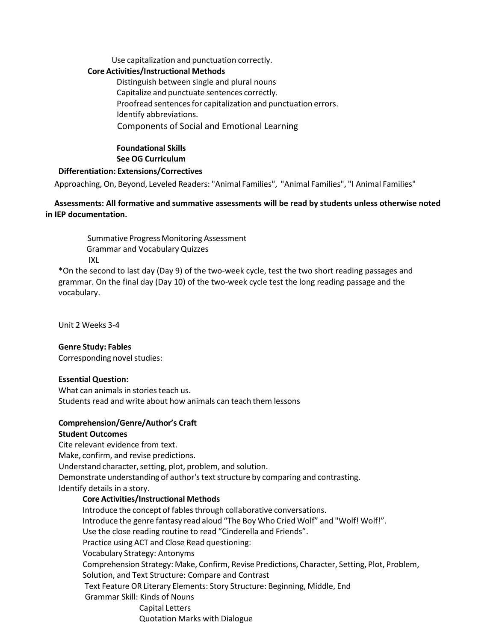Use capitalization and punctuation correctly.

# **Core Activities/Instructional Methods**

Distinguish between single and plural nouns Capitalize and punctuate sentences correctly. Proofread sentences for capitalization and punctuation errors. Identify abbreviations. Components of Social and Emotional Learning

# **Foundational Skills See OG Curriculum**

# **Differentiation: Extensions/Correctives**

Approaching, On, Beyond, Leveled Readers: "Animal Families", "Animal Families", "I Animal Families"

# **Assessments: All formative and summative assessments will be read by students unless otherwise noted in IEP documentation.**

Summative Progress Monitoring Assessment Grammar and Vocabulary Quizzes IXL

\*On the second to last day (Day 9) of the two-week cycle, test the two short reading passages and grammar. On the final day (Day 10) of the two-week cycle test the long reading passage and the vocabulary.

Unit 2 Weeks 3-4

# **Genre Study: Fables**

Corresponding novel studies:

# **Essential Question:**

What can animals in stories teach us. Students read and write about how animals can teach them lessons

# **Comprehension/Genre/Author's Craft**

# **Student Outcomes**

Cite relevant evidence from text. Make, confirm, and revise predictions. Understand character, setting, plot, problem, and solution. Demonstrate understanding of author's text structure by comparing and contrasting. Identify details in a story.

# **Core Activities/Instructional Methods**

Introduce the concept of fables through collaborative conversations. Introduce the genre fantasy read aloud "The Boy Who Cried Wolf" and "Wolf! Wolf!". Use the close reading routine to read "Cinderella and Friends". Practice using ACT and Close Read questioning: Vocabulary Strategy: Antonyms Comprehension Strategy: Make, Confirm, Revise Predictions, Character, Setting, Plot, Problem, Solution, and Text Structure: Compare and Contrast Text Feature OR Literary Elements: Story Structure: Beginning, Middle, End Grammar Skill: Kinds of Nouns Capital Letters Quotation Marks with Dialogue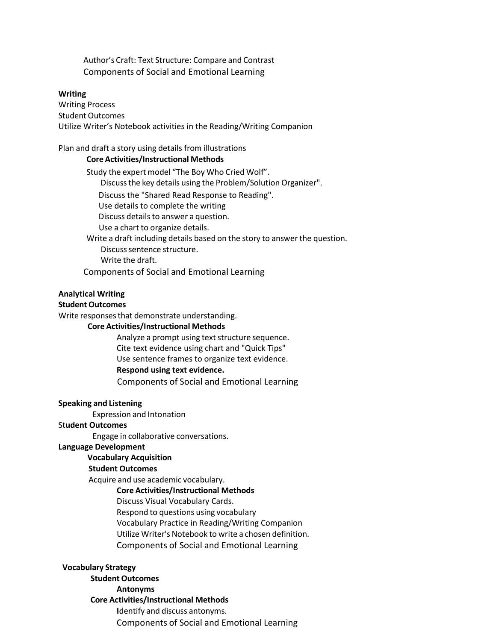Author's Craft: Text Structure: Compare and Contrast Components of Social and Emotional Learning

#### **Writing**

Writing Process Student Outcomes Utilize Writer's Notebook activities in the Reading/Writing Companion

#### Plan and draft a story using details from illustrations

#### **Core Activities/Instructional Methods**

Study the expert model "The Boy Who Cried Wolf". Discuss the key details using the Problem/Solution Organizer". Discuss the "Shared Read Response to Reading". Use details to complete the writing Discuss details to answer a question. Use a chart to organize details. Write a draft including details based on the story to answer the question. Discuss sentence structure. Write the draft.

Components of Social and Emotional Learning

#### **Analytical Writing**

#### **Student Outcomes**

Write responses that demonstrate understanding.

#### **Core Activities/Instructional Methods**

Analyze a prompt using text structure sequence. Cite text evidence using chart and "Quick Tips" Use sentence frames to organize text evidence. **Respond using text evidence.** Components of Social and Emotional Learning

#### **Speaking and Listening**

Expression and Intonation

#### St**udent Outcomes**

Engage in collaborative conversations.

# **Language Development**

# **Vocabulary Acquisition**

# **Student Outcomes**

Acquire and use academic vocabulary.

#### **Core Activities/Instructional Methods**

- Discuss Visual Vocabulary Cards.
- Respond to questions using vocabulary
- Vocabulary Practice in Reading/Writing Companion
- Utilize Writer's Notebook to write a chosen definition.
- Components of Social and Emotional Learning

#### **Vocabulary Strategy**

**Student Outcomes Antonyms Core Activities/Instructional Methods I**dentify and discuss antonyms. Components of Social and Emotional Learning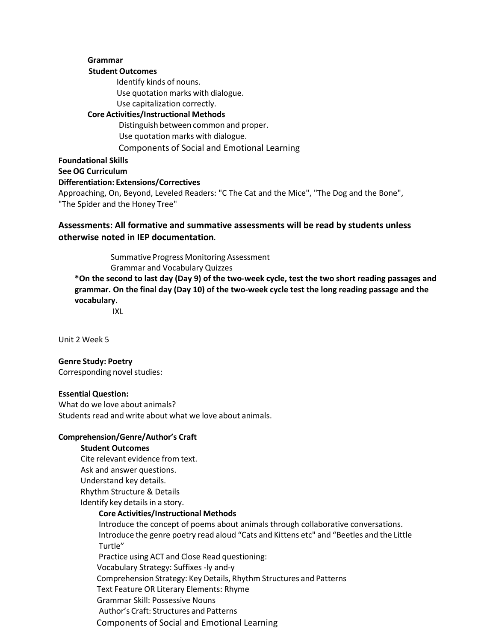# **Grammar Student Outcomes** Identify kinds of nouns. Use quotation marks with dialogue. Use capitalization correctly. **Core Activities/Instructional Methods** Distinguish between common and proper. Use quotation marks with dialogue. Components of Social and Emotional Learning **Foundational Skills See OG Curriculum Differentiation: Extensions/Correctives**

Approaching, On, Beyond, Leveled Readers: "C The Cat and the Mice", "The Dog and the Bone", "The Spider and the Honey Tree"

# **Assessments: All formative and summative assessments will be read by students unless otherwise noted in IEP documentation.**

Summative Progress Monitoring Assessment Grammar and Vocabulary Quizzes **\*On the second to last day (Day 9) of the two-week cycle, test the two short reading passages and grammar. On the final day (Day 10) of the two-week cycle test the long reading passage and the vocabulary.**

IXL

Unit 2 Week 5

# **Genre Study: Poetry**

Corresponding novel studies:

# **Essential Question:**

What do we love about animals? Students read and write about what we love about animals.

# **Comprehension/Genre/Author's Craft**

#### **Student Outcomes**

Cite relevant evidence from text. Ask and answer questions. Understand key details. Rhythm Structure & Details Identify key details in a story.

#### **Core Activities/Instructional Methods**

Introduce the concept of poems about animals through collaborative conversations. Introduce the genre poetry read aloud "Cats and Kittens etc" and "Beetles and the Little Turtle"

Practice using ACT and Close Read questioning:

Vocabulary Strategy: Suffixes -ly and-y

Comprehension Strategy: Key Details, Rhythm Structures and Patterns

Text Feature OR Literary Elements: Rhyme

Grammar Skill: Possessive Nouns

Author's Craft: Structures and Patterns

Components of Social and Emotional Learning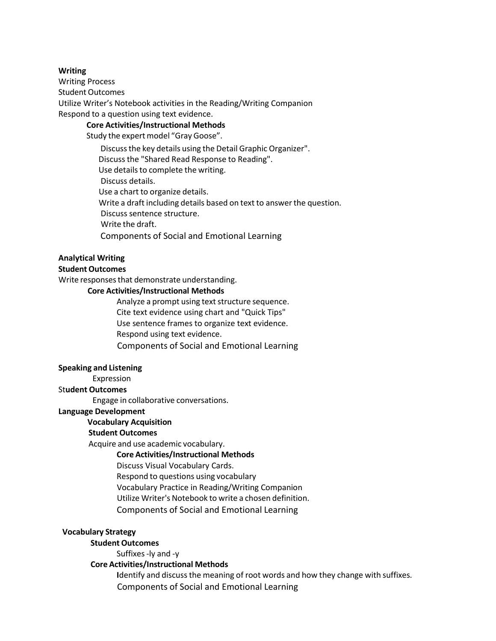#### **Writing**

Writing Process Student Outcomes Utilize Writer's Notebook activities in the Reading/Writing Companion Respond to a question using text evidence.

#### **Core Activities/Instructional Methods**

Study the expert model "Gray Goose".

Discussthe key details using the Detail Graphic Organizer". Discuss the "Shared Read Response to Reading". Use details to complete the writing. Discuss details. Use a chart to organize details. Write a draft including details based on text to answer the question. Discuss sentence structure. Write the draft.

Components of Social and Emotional Learning

# **Analytical Writing**

#### **Student Outcomes**

Write responses that demonstrate understanding.

#### **Core Activities/Instructional Methods**

Analyze a prompt using text structure sequence. Cite text evidence using chart and "Quick Tips" Use sentence frames to organize text evidence. Respond using text evidence. Components of Social and Emotional Learning

#### **Speaking and Listening**

Expression

#### St**udent Outcomes**

Engage in collaborative conversations.

#### **Language Development**

# **Vocabulary Acquisition**

# **Student Outcomes**

Acquire and use academic vocabulary.

#### **Core Activities/Instructional Methods**

Discuss Visual Vocabulary Cards.

Respond to questions using vocabulary

Vocabulary Practice in Reading/Writing Companion

Utilize Writer's Notebook to write a chosen definition.

Components of Social and Emotional Learning

#### **Vocabulary Strategy**

**Student Outcomes**

Suffixes-ly and -y

#### **Core Activities/Instructional Methods**

**I**dentify and discussthe meaning of root words and how they change with suffixes. Components of Social and Emotional Learning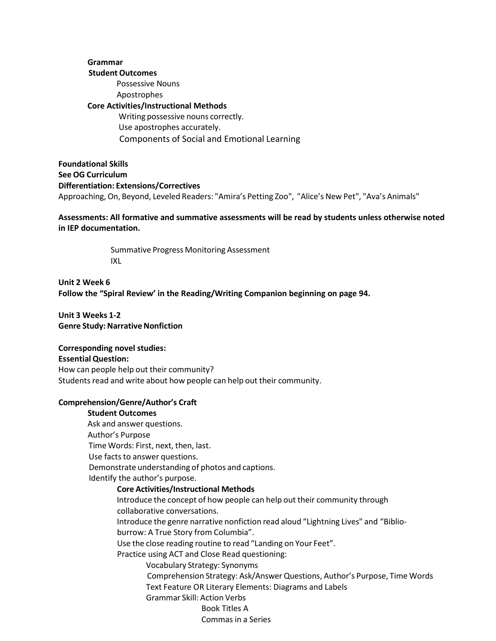**Grammar Student Outcomes** Possessive Nouns Apostrophes **Core Activities/Instructional Methods** Writing possessive nouns correctly. Use apostrophes accurately. Components of Social and Emotional Learning

**Foundational Skills See OG Curriculum Differentiation: Extensions/Correctives** Approaching,On, Beyond, Leveled Readers: "Amira's Petting Zoo", "Alice's New Pet", "Ava's Animals"

**Assessments: All formative and summative assessments will be read by students unless otherwise noted in IEP documentation.**

> Summative Progress Monitoring Assessment IXL

**Unit 2 Week 6 Follow the "Spiral Review' in the Reading/Writing Companion beginning on page 94.**

**Unit 3 Weeks 1-2 Genre Study: Narrative Nonfiction** 

#### **Corresponding novel studies:**

**Essential Question:** How can people help out their community? Students read and write about how people can help out their community.

# **Comprehension/Genre/Author's Craft**

#### **Student Outcomes**

Ask and answer questions. Author's Purpose Time Words: First, next, then, last. Use facts to answer questions. Demonstrate understanding of photos and captions. Identify the author's purpose. **Core Activities/Instructional Methods** Introduce the concept of how people can help out their community through collaborative conversations. Introduce the genre narrative nonfiction read aloud "Lightning Lives" and "Biblioburrow: A True Story from Columbia". Use the close reading routine to read "Landing on Your Feet". Practice using ACT and Close Read questioning: Vocabulary Strategy: Synonyms Comprehension Strategy: Ask/Answer Questions, Author's Purpose, Time Words Text Feature OR Literary Elements: Diagrams and Labels Grammar Skill: Action Verbs Book Titles A Commas in a Series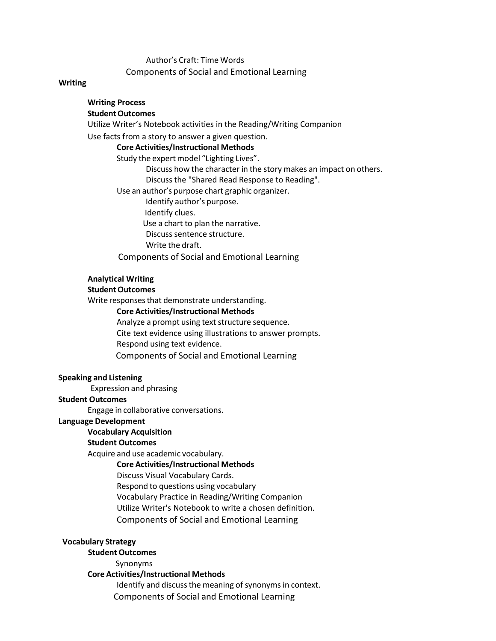Author's Craft: Time Words Components of Social and Emotional Learning

#### **Writing**

#### **Writing Process Student Outcomes**

Utilize Writer's Notebook activities in the Reading/Writing Companion

Use facts from a story to answer a given question.

#### **Core Activities/Instructional Methods**

Study the expert model "Lighting Lives".

Discuss how the character in the story makes an impact on others. Discuss the "Shared Read Response to Reading".

Use an author's purpose chart graphic organizer.

Identify author's purpose.

Identify clues.

Use a chart to plan the narrative.

Discuss sentence structure.

Write the draft.

Components of Social and Emotional Learning

#### **Analytical Writing**

#### **Student Outcomes**

Write responses that demonstrate understanding.

#### **Core Activities/Instructional Methods**

Analyze a prompt using text structure sequence. Cite text evidence using illustrations to answer prompts. Respond using text evidence. Components of Social and Emotional Learning

#### **Speaking and Listening**

Expression and phrasing

#### **Student Outcomes**

Engage in collaborative conversations.

#### **Language Development**

# **Vocabulary Acquisition**

# **Student Outcomes**

Acquire and use academic vocabulary.

#### **Core Activities/Instructional Methods**

Discuss Visual Vocabulary Cards.

Respond to questions using vocabulary

Vocabulary Practice in Reading/Writing Companion

Utilize Writer's Notebook to write a chosen definition.

Components of Social and Emotional Learning

#### **Vocabulary Strategy**

#### **Student Outcomes**

Synonyms

**Core Activities/Instructional Methods**

Identify and discuss the meaning of synonyms in context. Components of Social and Emotional Learning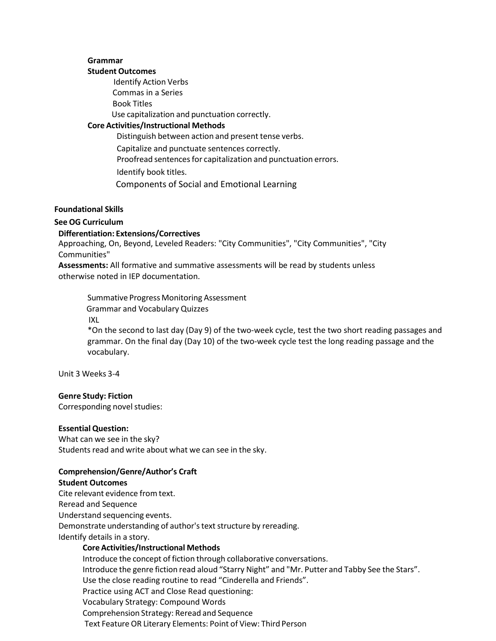# **Grammar**

#### **Student Outcomes**

Identify Action Verbs Commas in a Series Book Titles Use capitalization and punctuation correctly. **Core Activities/Instructional Methods** Distinguish between action and present tense verbs.

Capitalize and punctuate sentences correctly. Proofread sentences for capitalization and punctuation errors. Identify book titles.

Components of Social and Emotional Learning

#### **Foundational Skills**

# **See OG Curriculum**

# **Differentiation: Extensions/Correctives**

Approaching, On, Beyond, Leveled Readers: "City Communities", "City Communities", "City Communities"

**Assessments:** All formative and summative assessments will be read by students unless otherwise noted in IEP documentation.

Summative Progress Monitoring Assessment Grammar and Vocabulary Quizzes IXL \*On the second to last day (Day 9) of the two-week cycle, test the two short reading passages and grammar. On the final day (Day 10) of the two-week cycle test the long reading passage and the vocabulary.

Unit 3 Weeks 3-4

# **Genre Study: Fiction**

Corresponding novel studies:

#### **Essential Question:**

What can we see in the sky? Students read and write about what we can see in the sky.

# **Comprehension/Genre/Author's Craft**

**Student Outcomes** Cite relevant evidence from text. Reread and Sequence Understand sequencing events. Demonstrate understanding of author's text structure by rereading.

Identify details in a story.

# **Core Activities/Instructional Methods**

Introduce the concept of fiction through collaborative conversations. Introduce the genre fiction read aloud "Starry Night" and "Mr. Putter and Tabby See the Stars". Use the close reading routine to read "Cinderella and Friends". Practice using ACT and Close Read questioning: Vocabulary Strategy: Compound Words Comprehension Strategy: Reread and Sequence Text Feature OR Literary Elements: Point of View: Third Person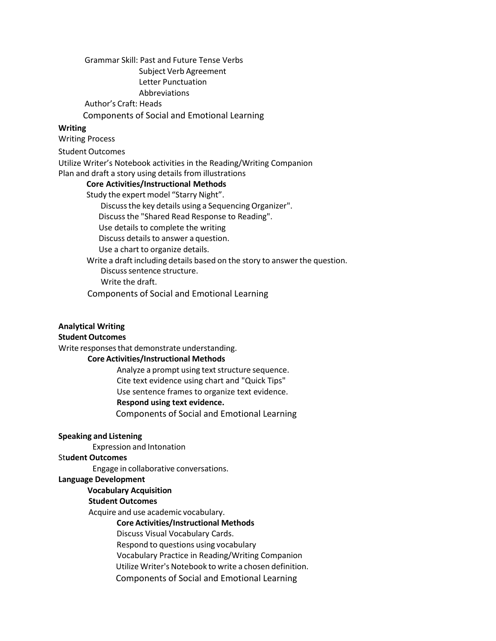### Grammar Skill: Past and Future Tense Verbs Subject Verb Agreement Letter Punctuation

Abbreviations

Author's Craft: Heads

Components of Social and Emotional Learning

# **Writing**

Writing Process

Student Outcomes

Utilize Writer's Notebook activities in the Reading/Writing Companion

Plan and draft a story using details from illustrations

#### **Core Activities/Instructional Methods**

Study the expert model "Starry Night".

Discuss the key details using a Sequencing Organizer".

Discuss the "Shared Read Response to Reading".

Use details to complete the writing

Discuss details to answer a question.

Use a chart to organize details.

Write a draft including details based on the story to answer the question.

Discuss sentence structure.

Write the draft.

Components of Social and Emotional Learning

# **Analytical Writing**

#### **Student Outcomes**

Write responses that demonstrate understanding.

# **Core Activities/Instructional Methods**

Analyze a prompt using text structure sequence. Cite text evidence using chart and "Quick Tips" Use sentence frames to organize text evidence. **Respond using text evidence.** Components of Social and Emotional Learning

#### **Speaking and Listening**

Expression and Intonation

# St**udent Outcomes**

Engage in collaborative conversations.

#### **Language Development**

# **Vocabulary Acquisition**

# **Student Outcomes**

Acquire and use academic vocabulary.

#### **Core Activities/Instructional Methods**

Discuss Visual Vocabulary Cards.

Respond to questions using vocabulary

Vocabulary Practice in Reading/Writing Companion

Utilize Writer's Notebook to write a chosen definition.

Components of Social and Emotional Learning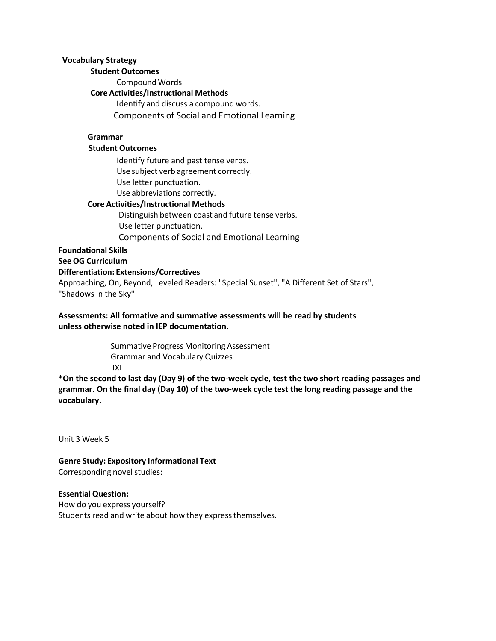#### **Vocabulary Strategy**

#### **Student Outcomes**

Compound Words

# **Core Activities/Instructional Methods**

**I**dentify and discuss a compound words. Components of Social and Emotional Learning

# **Grammar**

# **Student Outcomes**

Identify future and past tense verbs. Use subject verb agreement correctly. Use letter punctuation. Use abbreviations correctly.

# **Core Activities/Instructional Methods**

Distinguish between coast and future tense verbs. Use letter punctuation. Components of Social and Emotional Learning

#### **Foundational Skills**

**See OG Curriculum**

## **Differentiation: Extensions/Correctives**

Approaching, On, Beyond, Leveled Readers: "Special Sunset", "A Different Set of Stars", "Shadows in the Sky"

# **Assessments: All formative and summative assessments will be read by students unless otherwise noted in IEP documentation.**

Summative Progress Monitoring Assessment Grammar and Vocabulary Quizzes IXL

**\*On the second to last day (Day 9) of the two-week cycle, test the two short reading passages and grammar. On the final day (Day 10) of the two-week cycle test the long reading passage and the vocabulary.**

Unit 3 Week 5

**Genre Study: Expository Informational Text** Corresponding novel studies:

#### **Essential Question:**

How do you express yourself? Students read and write about how they express themselves.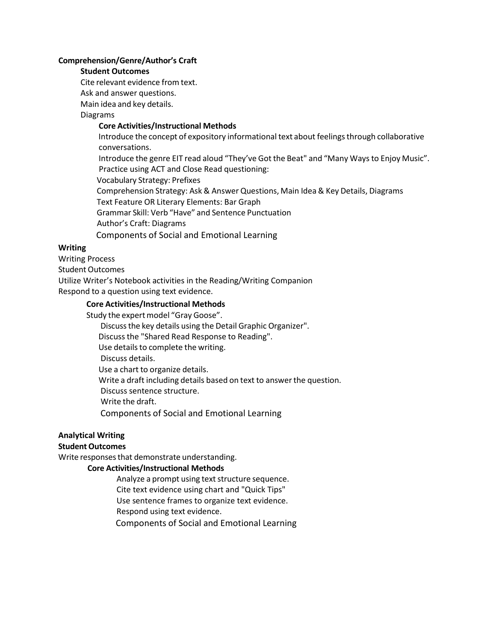#### **Comprehension/Genre/Author's Craft**

# **Student Outcomes**

Cite relevant evidence from text.

Ask and answer questions.

Main idea and key details.

Diagrams

# **Core Activities/Instructional Methods**

Introduce the concept of expository informational text about feelingsthrough collaborative conversations.

Introduce the genre EIT read aloud "They've Got the Beat" and "Many Waysto Enjoy Music". Practice using ACT and Close Read questioning:

Vocabulary Strategy: Prefixes

Comprehension Strategy: Ask & Answer Questions, Main Idea & Key Details, Diagrams

Text Feature OR Literary Elements: Bar Graph

Grammar Skill: Verb "Have" and Sentence Punctuation

Author's Craft: Diagrams

Components of Social and Emotional Learning

#### **Writing**

Writing Process

Student Outcomes

Utilize Writer's Notebook activities in the Reading/Writing Companion Respond to a question using text evidence.

#### **Core Activities/Instructional Methods**

Study the expert model "Gray Goose".

Discussthe key details using the Detail Graphic Organizer".

Discuss the "Shared Read Response to Reading".

Use details to complete the writing.

Discuss details.

Use a chart to organize details.

Write a draft including details based on text to answer the question.

Discuss sentence structure.

Write the draft.

Components of Social and Emotional Learning

# **Analytical Writing**

# **Student Outcomes**

Write responses that demonstrate understanding.

#### **Core Activities/Instructional Methods**

Analyze a prompt using text structure sequence. Cite text evidence using chart and "Quick Tips" Use sentence frames to organize text evidence. Respond using text evidence.

Components of Social and Emotional Learning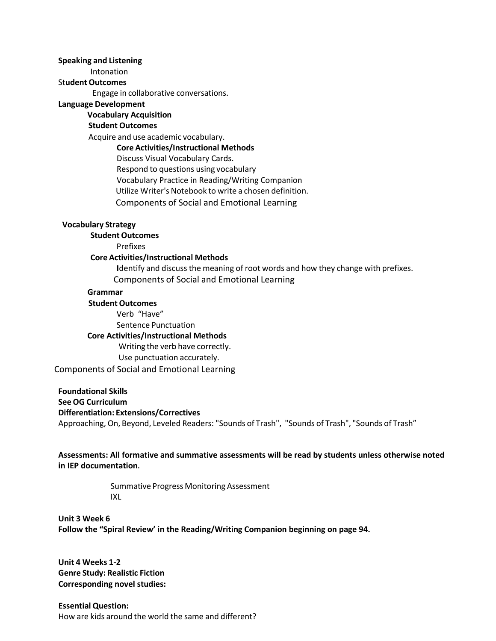#### **Speaking and Listening**

Intonation

# St**udent Outcomes**

Engage in collaborative conversations.

#### **Language Development**

# **Vocabulary Acquisition**

# **Student Outcomes**

Acquire and use academic vocabulary.

#### **Core Activities/Instructional Methods**

Discuss Visual Vocabulary Cards.

Respond to questions using vocabulary Vocabulary Practice in Reading/Writing Companion Utilize Writer's Notebook to write a chosen definition. Components of Social and Emotional Learning

# **Vocabulary Strategy**

# **Student Outcomes**

Prefixes

#### **Core Activities/Instructional Methods**

**I**dentify and discuss the meaning of root words and how they change with prefixes. Components of Social and Emotional Learning

#### **Grammar**

#### **Student Outcomes**

Verb "Have" Sentence Punctuation **Core Activities/Instructional Methods** Writing the verb have correctly. Use punctuation accurately. Components of Social and Emotional Learning

**Foundational Skills See OG Curriculum Differentiation: Extensions/Correctives** Approaching, On, Beyond, Leveled Readers: "Sounds of Trash", "Sounds of Trash", "Sounds of Trash"

**Assessments: All formative and summative assessments will be read by students unless otherwise noted in IEP documentation.**

> Summative Progress Monitoring Assessment IXL

**Unit 3 Week 6 Follow the "Spiral Review' in the Reading/Writing Companion beginning on page 94.**

**Unit 4 Weeks 1-2 Genre Study: Realistic Fiction Corresponding novel studies:**

**Essential Question:** How are kids around the world the same and different?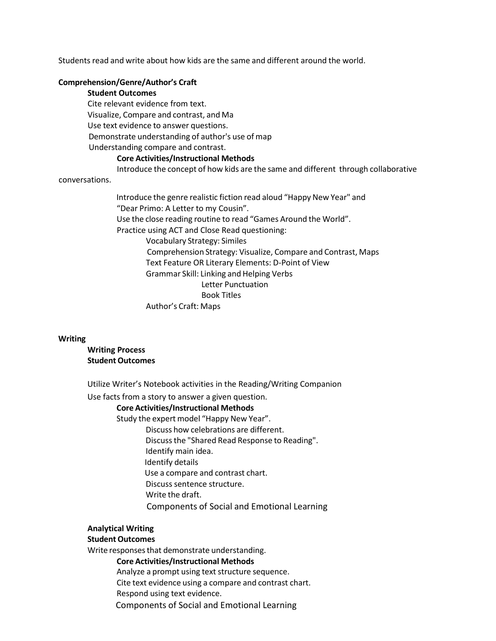Students read and write about how kids are the same and different around the world.

#### **Comprehension/Genre/Author's Craft**

# **Student Outcomes**

Cite relevant evidence from text. Visualize, Compare and contrast, and Ma Use text evidence to answer questions. Demonstrate understanding of author's use of map Understanding compare and contrast.

#### **Core Activities/Instructional Methods**

Introduce the concept of how kids are the same and different through collaborative

#### conversations.

Introduce the genre realistic fiction read aloud "Happy New Year" and "Dear Primo: A Letter to my Cousin". Use the close reading routine to read "Games Around the World". Practice using ACT and Close Read questioning: Vocabulary Strategy: Similes Comprehension Strategy: Visualize, Compare and Contrast, Maps Text Feature OR Literary Elements: D-Point of View Grammar Skill: Linking and Helping Verbs Letter Punctuation Book Titles Author's Craft: Maps

#### **Writing**

#### **Writing Process Student Outcomes**

Utilize Writer's Notebook activities in the Reading/Writing Companion

Use facts from a story to answer a given question.

#### **Core Activities/Instructional Methods**

Study the expert model "Happy New Year".

Discuss how celebrations are different.

Discussthe "Shared Read Response to Reading".

- Identify main idea.
- Identify details

Use a compare and contrast chart.

- Discuss sentence structure.
- Write the draft.

Components of Social and Emotional Learning

# **Analytical Writing**

# **Student Outcomes**

Write responses that demonstrate understanding.

# **Core Activities/Instructional Methods**

Analyze a prompt using text structure sequence.

Cite text evidence using a compare and contrast chart.

- Respond using text evidence.
- Components of Social and Emotional Learning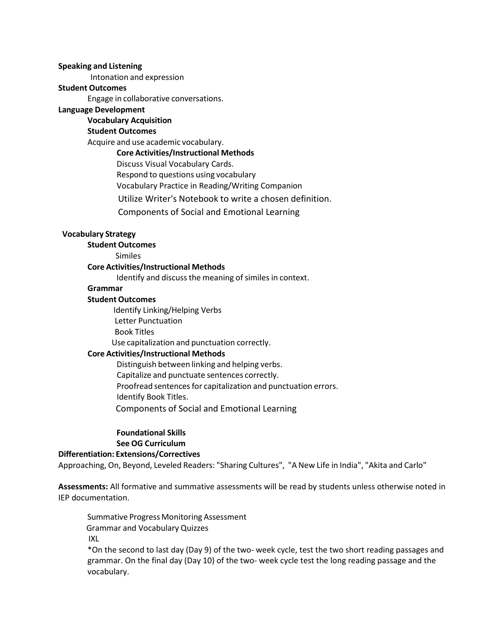#### **Speaking and Listening**

Intonation and expression

#### **Student Outcomes**

Engage in collaborative conversations.

# **Language Development**

# **Vocabulary Acquisition**

# **Student Outcomes**

Acquire and use academic vocabulary.

# **Core Activities/Instructional Methods**

Discuss Visual Vocabulary Cards.

Respond to questions using vocabulary

Vocabulary Practice in Reading/Writing Companion

Utilize Writer's Notebook to write a chosen definition.

Components of Social and Emotional Learning

# **Vocabulary Strategy**

# **Student Outcomes**

Similes

# **Core Activities/Instructional Methods**

Identify and discuss the meaning of similes in context.

# **Grammar**

#### **Student Outcomes**

Identify Linking/Helping Verbs Letter Punctuation Book Titles

Use capitalization and punctuation correctly.

# **Core Activities/Instructional Methods**

Distinguish between linking and helping verbs. Capitalize and punctuate sentences correctly. Proofread sentences for capitalization and punctuation errors. Identify Book Titles. Components of Social and Emotional Learning

# **Foundational Skills See OG Curriculum**

# **Differentiation: Extensions/Correctives**

Approaching, On, Beyond, Leveled Readers: "Sharing Cultures", "A New Life in India", "Akita and Carlo"

**Assessments:** All formative and summative assessments will be read by students unless otherwise noted in IEP documentation.

Summative Progress Monitoring Assessment Grammar and Vocabulary Quizzes IXL

\*On the second to last day (Day 9) of the two- week cycle, test the two short reading passages and grammar. On the final day (Day 10) of the two- week cycle test the long reading passage and the vocabulary.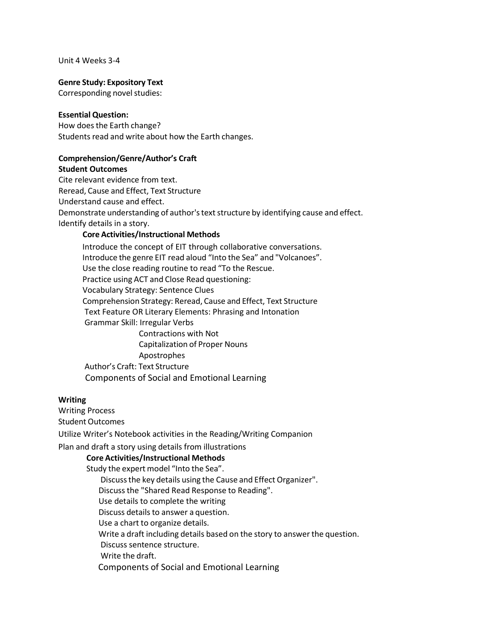Unit 4 Weeks 3-4

#### **Genre Study: Expository Text**

Corresponding novel studies:

#### **Essential Question:**

How does the Earth change? Students read and write about how the Earth changes.

# **Comprehension/Genre/Author's Craft**

**Student Outcomes**

Cite relevant evidence from text. Reread, Cause and Effect, Text Structure Understand cause and effect. Demonstrate understanding of author's text structure by identifying cause and effect. Identify details in a story.

# **Core Activities/Instructional Methods**

Introduce the concept of EIT through collaborative conversations. Introduce the genre EIT read aloud "Into the Sea" and "Volcanoes". Use the close reading routine to read "To the Rescue. Practice using ACT and Close Read questioning: Vocabulary Strategy: Sentence Clues Comprehension Strategy: Reread, Cause and Effect, Text Structure Text Feature OR Literary Elements: Phrasing and Intonation Grammar Skill: Irregular Verbs Contractions with Not Capitalization of Proper Nouns Apostrophes Author's Craft: Text Structure

Components of Social and Emotional Learning

#### **Writing**

Writing Process

Student Outcomes

Utilize Writer's Notebook activities in the Reading/Writing Companion

Plan and draft a story using details from illustrations

# **Core Activities/Instructional Methods**

Study the expert model "Into the Sea". Discussthe key details using the Cause and Effect Organizer". Discuss the "Shared Read Response to Reading". Use details to complete the writing Discuss details to answer a question. Use a chart to organize details. Write a draft including details based on the story to answer the question. Discuss sentence structure. Write the draft. Components of Social and Emotional Learning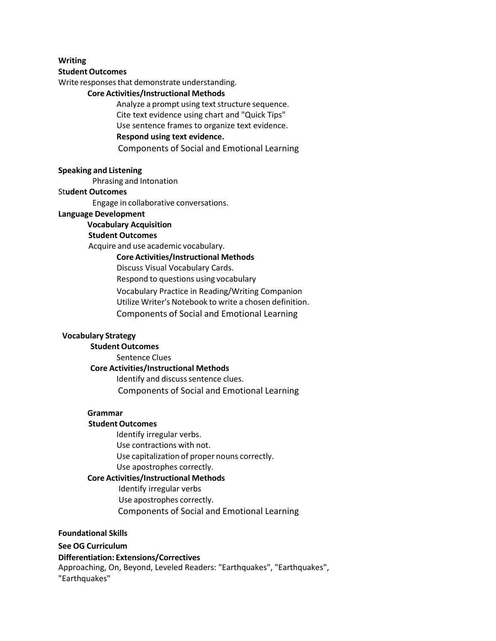#### **Writing**

#### **Student Outcomes**

Write responses that demonstrate understanding.

# **Core Activities/Instructional Methods**

Analyze a prompt using text structure sequence. Cite text evidence using chart and "Quick Tips" Use sentence frames to organize text evidence. **Respond using text evidence.** Components of Social and Emotional Learning

#### **Speaking and Listening**

Phrasing and Intonation

#### St**udent Outcomes**

Engage in collaborative conversations.

#### **Language Development**

# **Vocabulary Acquisition**

# **Student Outcomes**

Acquire and use academic vocabulary.

#### **Core Activities/Instructional Methods**

Discuss Visual Vocabulary Cards.

Respond to questions using vocabulary

Vocabulary Practice in Reading/Writing Companion

Utilize Writer's Notebook to write a chosen definition.

Components of Social and Emotional Learning

## **Vocabulary Strategy**

**Student Outcomes**

#### Sentence Clues **Core Activities/Instructional Methods**

Identify and discuss sentence clues. Components of Social and Emotional Learning

#### **Grammar**

#### **Student Outcomes**

Identify irregular verbs. Use contractions with not. Use capitalization of proper nouns correctly. Use apostrophes correctly.

#### **Core Activities/Instructional Methods**

Identify irregular verbs Use apostrophes correctly. Components of Social and Emotional Learning

#### **Foundational Skills**

#### **See OG Curriculum**

#### **Differentiation: Extensions/Correctives**

Approaching, On, Beyond, Leveled Readers: "Earthquakes", "Earthquakes", "Earthquakes"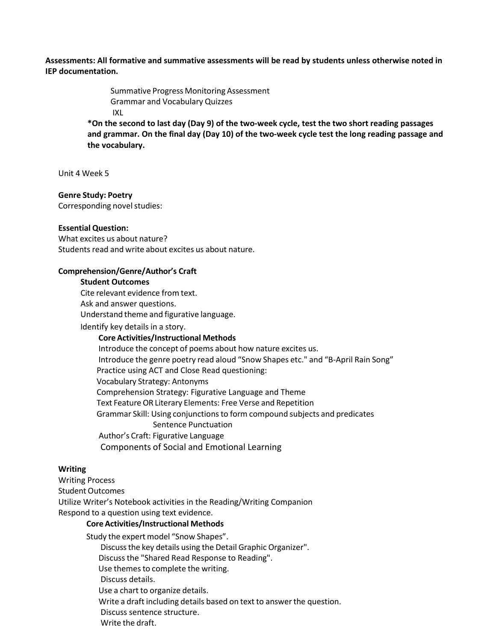**Assessments: All formative and summative assessments will be read by students unless otherwise noted in IEP documentation.**

> Summative Progress Monitoring Assessment Grammar and Vocabulary Quizzes IXL

**\*On the second to last day (Day 9) of the two-week cycle, test the two short reading passages and grammar. On the final day (Day 10) of the two-week cycle test the long reading passage and the vocabulary.**

Unit 4 Week 5

#### **Genre Study: Poetry**

Corresponding novel studies:

#### **Essential Question:**

What excites us about nature? Students read and write about excites us about nature.

#### **Comprehension/Genre/Author's Craft**

#### **Student Outcomes**

Cite relevant evidence from text.

Ask and answer questions.

Understand theme and figurative language.

Identify key details in a story.

#### **Core Activities/Instructional Methods**

Introduce the concept of poems about how nature excites us. Introduce the genre poetry read aloud "Snow Shapes etc." and "B-April Rain Song" Practice using ACT and Close Read questioning: Vocabulary Strategy: Antonyms Comprehension Strategy: Figurative Language and Theme Text FeatureOR Literary Elements: Free Verse and Repetition Grammar Skill: Using conjunctionsto form compound subjects and predicates Sentence Punctuation Author's Craft: Figurative Language Components of Social and Emotional Learning

#### **Writing**

Writing Process Student Outcomes Utilize Writer's Notebook activities in the Reading/Writing Companion Respond to a question using text evidence.

#### **Core Activities/Instructional Methods**

Study the expert model "Snow Shapes". Discussthe key details using the Detail Graphic Organizer". Discuss the "Shared Read Response to Reading". Use themes to complete the writing. Discuss details. Use a chart to organize details. Write a draft including details based on text to answerthe question. Discuss sentence structure. Write the draft.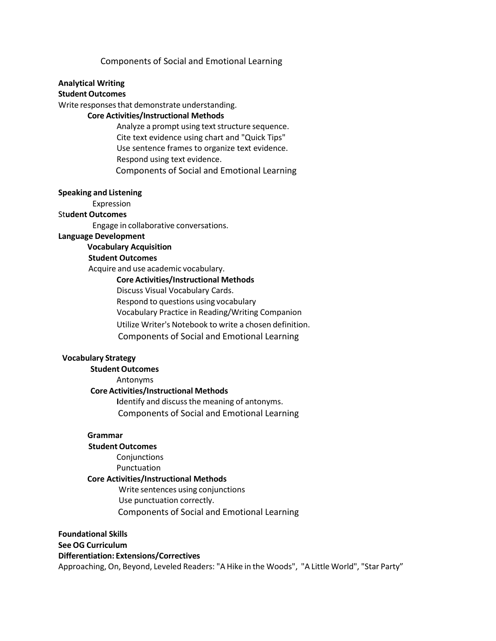#### Components of Social and Emotional Learning

# **Analytical Writing**

# **Student Outcomes**

Write responses that demonstrate understanding.

# **Core Activities/Instructional Methods**

Analyze a prompt using text structure sequence. Cite text evidence using chart and "Quick Tips" Use sentence frames to organize text evidence. Respond using text evidence. Components of Social and Emotional Learning

#### **Speaking and Listening**

Expression

# St**udent Outcomes**

Engage in collaborative conversations.

**Language Development**

#### **Vocabulary Acquisition**

#### **Student Outcomes**

Acquire and use academic vocabulary.

#### **Core Activities/Instructional Methods**

Discuss Visual Vocabulary Cards.

Respond to questions using vocabulary

Vocabulary Practice in Reading/Writing Companion

Utilize Writer's Notebook to write a chosen definition.

Components of Social and Emotional Learning

#### **Vocabulary Strategy**

**Student Outcomes** Antonyms **Core Activities/Instructional Methods I**dentify and discussthe meaning of antonyms. Components of Social and Emotional Learning

### **Grammar**

## **Student Outcomes**

**Conjunctions** 

Punctuation

# **Core Activities/Instructional Methods**

Write sentences using conjunctions Use punctuation correctly. Components of Social and Emotional Learning

**Foundational Skills See OG Curriculum Differentiation: Extensions/Correctives** Approaching, On, Beyond, Leveled Readers: "A Hike in the Woods", "A Little World", "Star Party"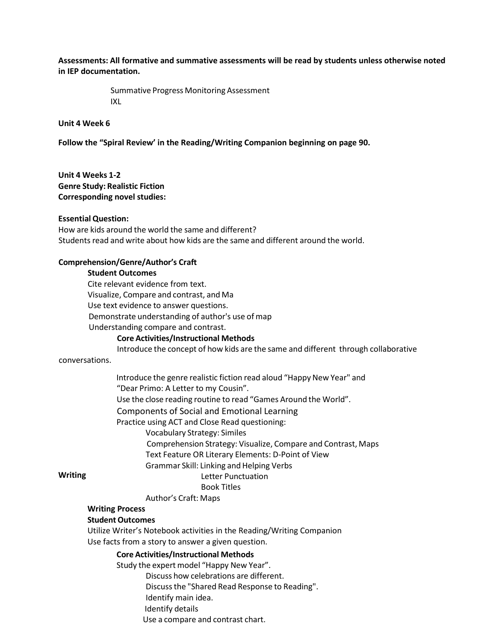**Assessments: All formative and summative assessments will be read by students unless otherwise noted in IEP documentation.**

> Summative Progress Monitoring Assessment IXL

**Unit 4 Week 6**

**Follow the "Spiral Review' in the Reading/Writing Companion beginning on page 90.**

**Unit 4 Weeks 1-2 Genre Study: Realistic Fiction Corresponding novel studies:**

#### **Essential Question:**

How are kids around the world the same and different? Students read and write about how kids are the same and different around the world.

#### **Comprehension/Genre/Author's Craft**

#### **Student Outcomes**

Cite relevant evidence from text. Visualize, Compare and contrast, and Ma Use text evidence to answer questions. Demonstrate understanding of author's use of map Understanding compare and contrast.

#### **Core Activities/Instructional Methods**

Introduce the concept of how kids are the same and different through collaborative

#### conversations.

Introduce the genre realistic fiction read aloud "Happy New Year" and "Dear Primo: A Letter to my Cousin". Use the close reading routine to read "Games Around the World". Components of Social and Emotional Learning

Practice using ACT and Close Read questioning:

Vocabulary Strategy: Similes

Comprehension Strategy: Visualize, Compare and Contrast, Maps

Text Feature OR Literary Elements: D-Point of View

Grammar Skill: Linking and Helping Verbs

# **Writing**

#### Letter Punctuation Book Titles

# Author's Craft: Maps

# **Writing Process**

#### **Student Outcomes**

Utilize Writer's Notebook activities in the Reading/Writing Companion Use facts from a story to answer a given question.

#### **Core Activities/Instructional Methods**

Study the expert model "Happy New Year". Discuss how celebrations are different. Discussthe "Shared Read Response to Reading". Identify main idea. Identify details Use a compare and contrast chart.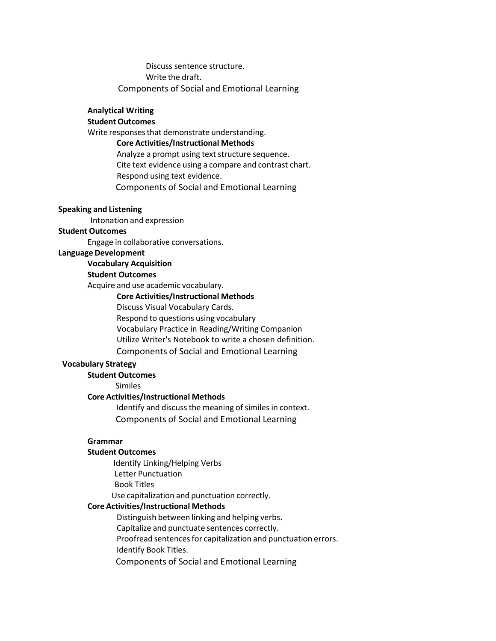Discuss sentence structure. Write the draft. Components of Social and Emotional Learning

#### **Analytical Writing**

# **Student Outcomes**

Write responses that demonstrate understanding.

#### **Core Activities/Instructional Methods**

Analyze a prompt using text structure sequence. Cite text evidence using a compare and contrast chart. Respond using text evidence. Components of Social and Emotional Learning

#### **Speaking and Listening**

Intonation and expression

# **Student Outcomes**

Engage in collaborative conversations.

#### **Language Development**

#### **Vocabulary Acquisition**

# **Student Outcomes**

Acquire and use academic vocabulary.

#### **Core Activities/Instructional Methods**

Discuss Visual Vocabulary Cards.

Respond to questions using vocabulary

Vocabulary Practice in Reading/Writing Companion

Utilize Writer's Notebook to write a chosen definition.

Components of Social and Emotional Learning

#### **Vocabulary Strategy**

# **Student Outcomes**

Similes

# **Core Activities/Instructional Methods**

Identify and discuss the meaning of similes in context. Components of Social and Emotional Learning

#### **Grammar**

#### **Student Outcomes**

Identify Linking/Helping Verbs Letter Punctuation Book Titles Use capitalization and punctuation correctly.

**Core Activities/Instructional Methods**

Distinguish between linking and helping verbs. Capitalize and punctuate sentences correctly.

Proofread sentences for capitalization and punctuation errors.

Identify Book Titles.

Components of Social and Emotional Learning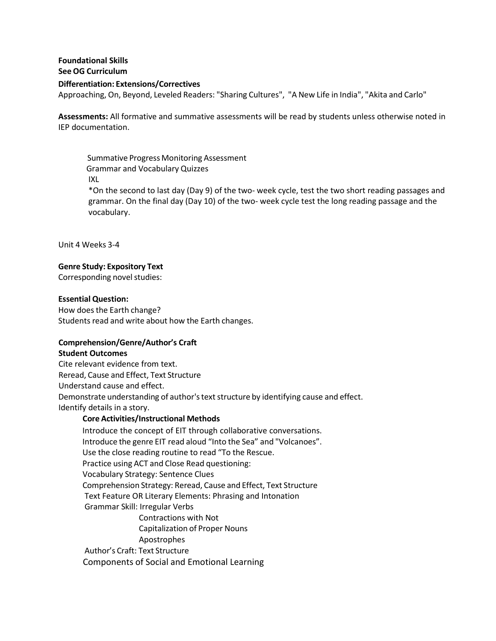# **Foundational Skills See OG Curriculum Differentiation: Extensions/Correctives** Approaching, On, Beyond, Leveled Readers: "Sharing Cultures", "A New Life in India", "Akita and Carlo"

**Assessments:** All formative and summative assessments will be read by students unless otherwise noted in IEP documentation.

Summative Progress Monitoring Assessment Grammar and Vocabulary Quizzes IXL \*On the second to last day (Day 9) of the two- week cycle, test the two short reading passages and grammar. On the final day (Day 10) of the two- week cycle test the long reading passage and the vocabulary.

Unit 4 Weeks 3-4

# **Genre Study: Expository Text**

Corresponding novel studies:

#### **Essential Question:**

How does the Earth change? Students read and write about how the Earth changes.

#### **Comprehension/Genre/Author's Craft**

#### **Student Outcomes**

Cite relevant evidence from text. Reread, Cause and Effect, Text Structure Understand cause and effect. Demonstrate understanding of author's text structure by identifying cause and effect. Identify details in a story.

#### **Core Activities/Instructional Methods**

Introduce the concept of EIT through collaborative conversations. Introduce the genre EIT read aloud "Into the Sea" and "Volcanoes". Use the close reading routine to read "To the Rescue. Practice using ACT and Close Read questioning: Vocabulary Strategy: Sentence Clues Comprehension Strategy: Reread, Cause and Effect, Text Structure Text Feature OR Literary Elements: Phrasing and Intonation Grammar Skill: Irregular Verbs Contractions with Not Capitalization of Proper Nouns Apostrophes Author's Craft: Text Structure Components of Social and Emotional Learning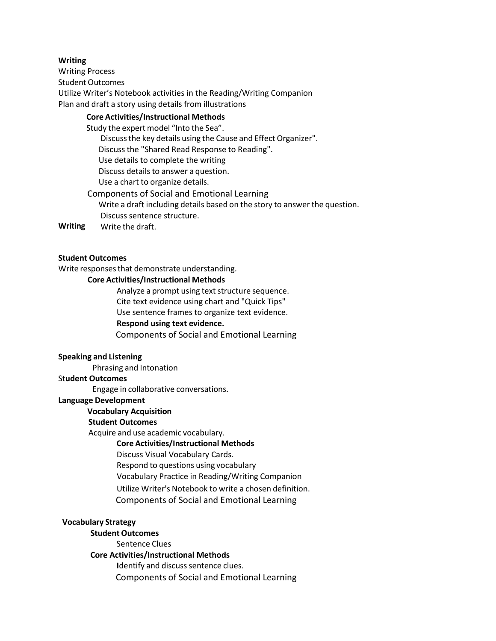# **Writing**

Writing Process Student Outcomes Utilize Writer's Notebook activities in the Reading/Writing Companion Plan and draft a story using details from illustrations

# **Core Activities/Instructional Methods**

Study the expert model "Into the Sea". Discussthe key details using the Cause and Effect Organizer". Discuss the "Shared Read Response to Reading". Use details to complete the writing Discuss details to answer a question. Use a chart to organize details.

Components of Social and Emotional Learning Write a draft including details based on the story to answer the question.

Discuss sentence structure. **Writing** Write the draft.

# **Student Outcomes**

Write responses that demonstrate understanding.

#### **Core Activities/Instructional Methods**

Analyze a prompt using text structure sequence. Cite text evidence using chart and "Quick Tips" Use sentence frames to organize text evidence. **Respond using text evidence.** Components of Social and Emotional Learning

# **Speaking and Listening**

Phrasing and Intonation

# St**udent Outcomes**

Engage in collaborative conversations.

#### **Language Development**

#### **Vocabulary Acquisition**

#### **Student Outcomes**

Acquire and use academic vocabulary.

#### **Core Activities/Instructional Methods**

Discuss Visual Vocabulary Cards.

Respond to questions using vocabulary

Vocabulary Practice in Reading/Writing Companion

Utilize Writer's Notebook to write a chosen definition.

Components of Social and Emotional Learning

#### **Vocabulary Strategy**

**Student Outcomes**

Sentence Clues

#### **Core Activities/Instructional Methods**

**Identify and discuss sentence clues.** Components of Social and Emotional Learning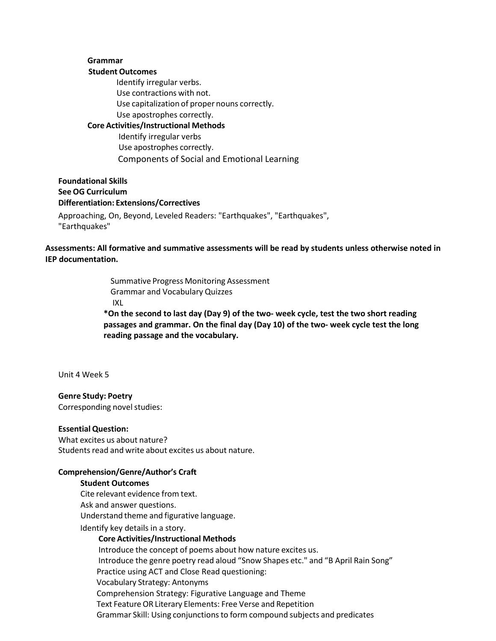# **Grammar**

#### **Student Outcomes**

Identify irregular verbs. Use contractions with not. Use capitalization of proper nouns correctly. Use apostrophes correctly. **Core Activities/Instructional Methods**

Identify irregular verbs Use apostrophes correctly. Components of Social and Emotional Learning

**Foundational Skills See OG Curriculum Differentiation: Extensions/Correctives** Approaching, On, Beyond, Leveled Readers: "Earthquakes", "Earthquakes",

"Earthquakes"

**Assessments: All formative and summative assessments will be read by students unless otherwise noted in IEP documentation.**

> Summative Progress Monitoring Assessment Grammar and Vocabulary Quizzes IXL **\*On the second to last day (Day 9) of the two- week cycle, test the two short reading passages and grammar. On the final day (Day 10) of the two- week cycle test the long reading passage and the vocabulary.**

Unit 4 Week 5

**Genre Study: Poetry** Corresponding novel studies:

#### **Essential Question:**

What excites us about nature? Students read and write about excites us about nature.

#### **Comprehension/Genre/Author's Craft**

#### **Student Outcomes**

Cite relevant evidence from text. Ask and answer questions. Understand theme and figurative language.

Identify key details in a story.

#### **Core Activities/Instructional Methods**

Introduce the concept of poems about how nature excites us. Introduce the genre poetry read aloud "Snow Shapes etc." and "B April Rain Song" Practice using ACT and Close Read questioning: Vocabulary Strategy: Antonyms Comprehension Strategy: Figurative Language and Theme Text FeatureOR Literary Elements: Free Verse and Repetition Grammar Skill: Using conjunctionsto form compound subjects and predicates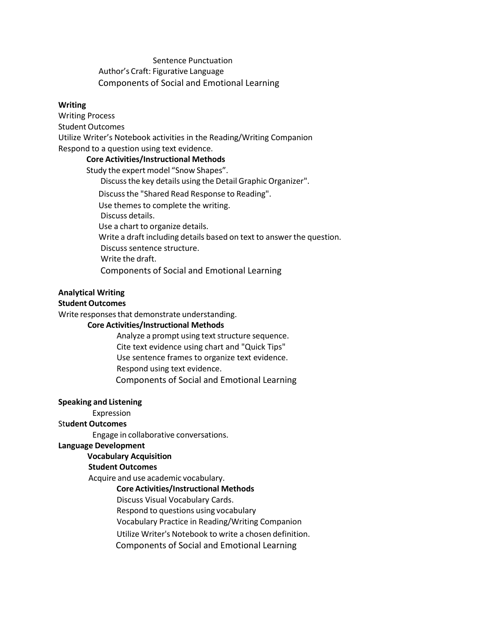# Sentence Punctuation Author's Craft: Figurative Language Components of Social and Emotional Learning

#### **Writing**

Writing Process Student Outcomes Utilize Writer's Notebook activities in the Reading/Writing Companion Respond to a question using text evidence.

# **Core Activities/Instructional Methods**

Study the expert model "Snow Shapes". Discussthe key details using the Detail Graphic Organizer". Discussthe "Shared Read Response to Reading". Use themes to complete the writing. Discuss details. Use a chart to organize details. Write a draft including details based on text to answer the question. Discuss sentence structure. Write the draft. Components of Social and Emotional Learning

# **Analytical Writing**

# **Student Outcomes**

Write responses that demonstrate understanding.

#### **Core Activities/Instructional Methods**

Analyze a prompt using text structure sequence. Cite text evidence using chart and "Quick Tips" Use sentence frames to organize text evidence. Respond using text evidence. Components of Social and Emotional Learning

#### **Speaking and Listening**

Expression

# St**udent Outcomes**

Engage in collaborative conversations.

#### **Language Development**

#### **Vocabulary Acquisition**

# **Student Outcomes**

Acquire and use academic vocabulary.

#### **Core Activities/Instructional Methods**

- Discuss Visual Vocabulary Cards.
- Respond to questions using vocabulary
- Vocabulary Practice in Reading/Writing Companion
- Utilize Writer's Notebook to write a chosen definition.
- Components of Social and Emotional Learning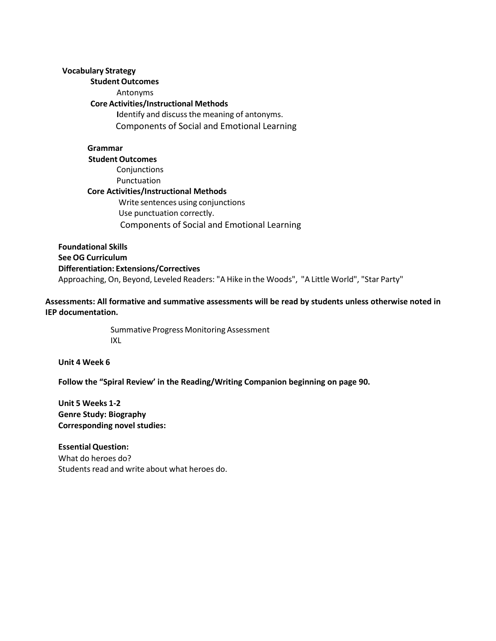# **Vocabulary Strategy**

# **Student Outcomes** Antonyms

# **Core Activities/Instructional Methods**

Identify and discuss the meaning of antonyms. Components of Social and Emotional Learning

**Grammar Student Outcomes** Conjunctions Punctuation **Core Activities/Instructional Methods** Write sentences using conjunctions Use punctuation correctly. Components of Social and Emotional Learning

**Foundational Skills See OG Curriculum Differentiation: Extensions/Correctives** Approaching, On, Beyond, Leveled Readers: "A Hike in the Woods", "A Little World", "Star Party"

**Assessments: All formative and summative assessments will be read by students unless otherwise noted in IEP documentation.**

> Summative Progress Monitoring Assessment IXL

**Unit 4 Week 6**

**Follow the "Spiral Review' in the Reading/Writing Companion beginning on page 90.**

**Unit 5 Weeks 1-2 Genre Study: Biography Corresponding novel studies:**

**Essential Question:** What do heroes do? Students read and write about what heroes do.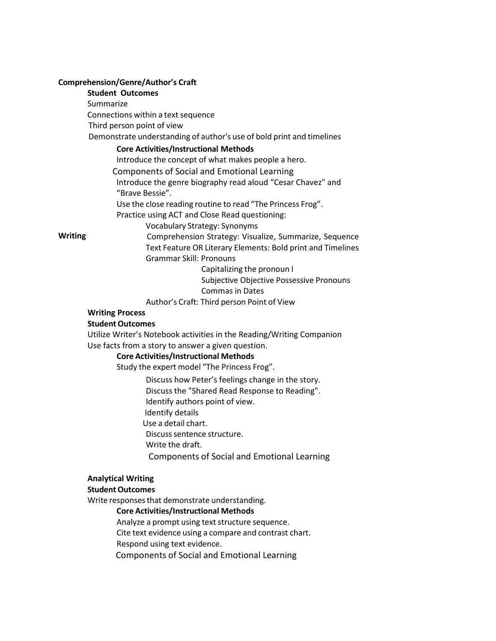#### **Comprehension/Genre/Author's Craft**

# **Student Outcomes**

**Summarize** 

Connections within a text sequence

Third person point of view

Demonstrate understanding of author's use of bold print and timelines

# **Core Activities/Instructional Methods**

Introduce the concept of what makes people a hero.

Components of Social and Emotional Learning

Introduce the genre biography read aloud "Cesar Chavez" and "Brave Bessie".

Use the close reading routine to read "The Princess Frog".

Practice using ACT and Close Read questioning:

Vocabulary Strategy: Synonyms

**Writing**

Comprehension Strategy: Visualize, Summarize, Sequence Text Feature OR Literary Elements: Bold print and Timelines Grammar Skill: Pronouns

Capitalizing the pronoun I

Subjective Objective Possessive Pronouns Commas in Dates

Author's Craft: Third person Point of View

# **Writing Process**

# **Student Outcomes**

Utilize Writer's Notebook activities in the Reading/Writing Companion Use facts from a story to answer a given question.

# **Core Activities/Instructional Methods**

Study the expert model "The Princess Frog".

Discuss how Peter's feelings change in the story.

Discuss the "Shared Read Response to Reading".

Identify authors point of view.

Identify details

Use a detail chart.

Discuss sentence structure.

Write the draft.

Components of Social and Emotional Learning

# **Analytical Writing**

# **Student Outcomes**

Write responses that demonstrate understanding.

# **Core Activities/Instructional Methods**

Analyze a prompt using text structure sequence. Cite text evidence using a compare and contrast chart.

Respond using text evidence.

Components of Social and Emotional Learning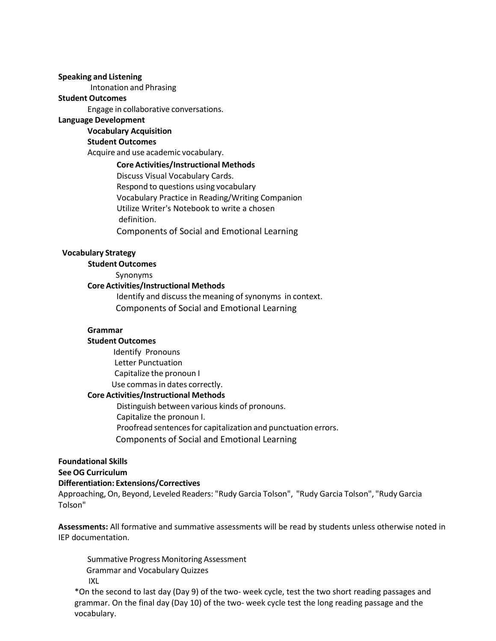#### **Speaking and Listening**

Intonation and Phrasing

#### **Student Outcomes**

Engage in collaborative conversations.

#### **Language Development**

**Vocabulary Acquisition**

#### **Student Outcomes**

Acquire and use academic vocabulary.

#### **Core Activities/Instructional Methods**

Discuss Visual Vocabulary Cards. Respond to questions using vocabulary Vocabulary Practice in Reading/Writing Companion Utilize Writer's Notebook to write a chosen definition. Components of Social and Emotional Learning

#### **Vocabulary Strategy**

**Student Outcomes**

Synonyms

# **Core Activities/Instructional Methods**

Identify and discuss the meaning of synonyms in context. Components of Social and Emotional Learning

#### **Grammar**

#### **Student Outcomes**

Identify Pronouns Letter Punctuation Capitalize the pronoun I Use commasin dates correctly. **Core Activities/Instructional Methods**

Distinguish between various kinds of pronouns. Capitalize the pronoun I. Proofread sentences for capitalization and punctuation errors. Components of Social and Emotional Learning

#### **Foundational Skills**

#### **See OG Curriculum**

#### **Differentiation: Extensions/Correctives**

Approaching,On, Beyond, Leveled Readers: "Rudy Garcia Tolson", "Rudy Garcia Tolson", "Rudy Garcia Tolson"

**Assessments:** All formative and summative assessments will be read by students unless otherwise noted in IEP documentation.

Summative Progress Monitoring Assessment Grammar and Vocabulary Quizzes IXL

\*On the second to last day (Day 9) of the two- week cycle, test the two short reading passages and grammar. On the final day (Day 10) of the two- week cycle test the long reading passage and the vocabulary.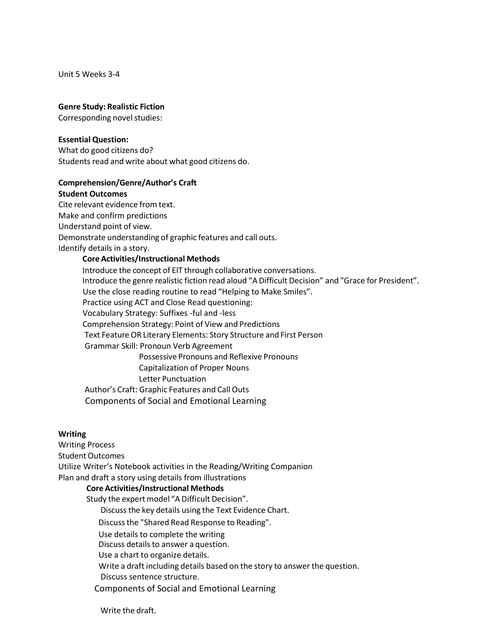Unit 5 Weeks 3-4

#### **Genre Study: Realistic Fiction**

Corresponding novel studies:

#### **Essential Question:**

What do good citizens do? Students read and write about what good citizens do.

#### **Comprehension/Genre/Author's Craft**

# **Student Outcomes**

Cite relevant evidence from text. Make and confirm predictions Understand point of view. Demonstrate understanding of graphic features and call outs. Identify details in a story.

#### **Core Activities/Instructional Methods**

Introduce the concept of EIT through collaborative conversations. Introduce the genre realistic fiction read aloud "A Difficult Decision" and "Grace for President". Use the close reading routine to read "Helping to Make Smiles". Practice using ACT and Close Read questioning: Vocabulary Strategy: Suffixes -ful and -less Comprehension Strategy: Point of View and Predictions Text Feature OR Literary Elements: Story Structure and First Person Grammar Skill: Pronoun Verb Agreement Possessive Pronouns and Reflexive Pronouns Capitalization of Proper Nouns Letter Punctuation Author's Craft: Graphic Features and Call Outs Components of Social and Emotional Learning

#### **Writing**

Writing Process Student Outcomes Utilize Writer's Notebook activities in the Reading/Writing Companion Plan and draft a story using details from illustrations **Core Activities/Instructional Methods** Study the expert model "A Difficult Decision". Discussthe key details using the Text Evidence Chart. Discussthe "Shared Read Response to Reading". Use details to complete the writing Discuss details to answer a question. Use a chart to organize details. Write a draft including details based on the story to answer the question. Discuss sentence structure. Components of Social and Emotional Learning

Write the draft.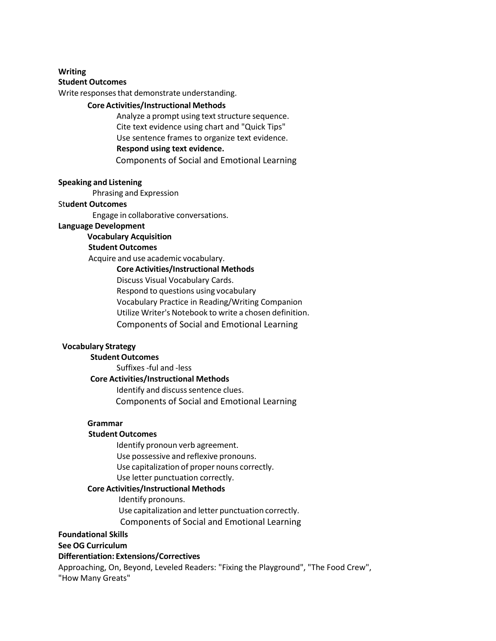#### **Writing**

#### **Student Outcomes**

Write responses that demonstrate understanding.

# **Core Activities/Instructional Methods**

Analyze a prompt using text structure sequence. Cite text evidence using chart and "Quick Tips" Use sentence frames to organize text evidence. **Respond using text evidence.** Components of Social and Emotional Learning

#### **Speaking and Listening**

Phrasing and Expression

#### St**udent Outcomes**

Engage in collaborative conversations.

#### **Language Development**

**Vocabulary Acquisition**

#### **Student Outcomes**

Acquire and use academic vocabulary.

#### **Core Activities/Instructional Methods**

Discuss Visual Vocabulary Cards.

Respond to questions using vocabulary

Vocabulary Practice in Reading/Writing Companion

Utilize Writer's Notebook to write a chosen definition.

Components of Social and Emotional Learning

#### **Vocabulary Strategy**

# **Student Outcomes**

Suffixes-ful and -less

#### **Core Activities/Instructional Methods**

Identify and discuss sentence clues. Components of Social and Emotional Learning

#### **Grammar**

#### **Student Outcomes**

Identify pronoun verb agreement.

Use possessive and reflexive pronouns.

Use capitalization of proper nouns correctly.

Use letter punctuation correctly.

#### **Core Activities/Instructional Methods**

Identify pronouns. Use capitalization and letter punctuation correctly. Components of Social and Emotional Learning

#### **Foundational Skills**

#### **See OG Curriculum**

#### **Differentiation: Extensions/Correctives**

Approaching, On, Beyond, Leveled Readers: "Fixing the Playground", "The Food Crew", "How Many Greats"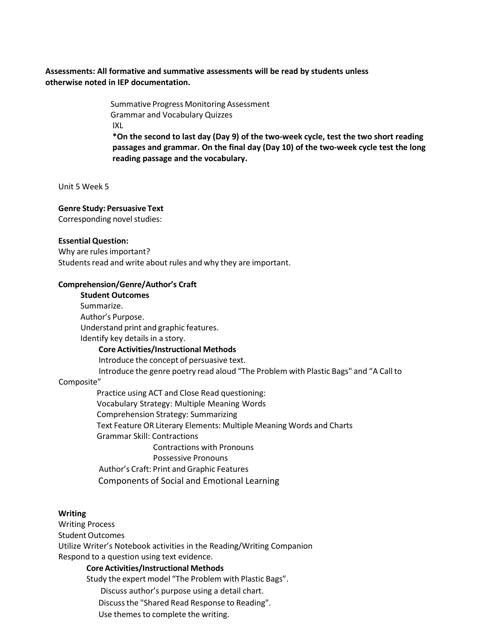# **Assessments: All formative and summative assessments will be read by students unless otherwise noted in IEP documentation.**

Summative Progress Monitoring Assessment Grammar and Vocabulary Quizzes IXL **\*On the second to last day (Day 9) of the two-week cycle, test the two short reading passages and grammar. On the final day (Day 10) of the two-week cycle test the long reading passage and the vocabulary.**

Unit 5 Week 5

#### **Genre Study: Persuasive Text**

Corresponding novel studies:

#### **Essential Question:**

Why are rules important? Students read and write about rules and why they are important.

#### **Comprehension/Genre/Author's Craft**

**Student Outcomes** Summarize. Author's Purpose. Understand print and graphic features. Identify key details in a story. **Core Activities/Instructional Methods** Introduce the concept of persuasive text. Introduce the genre poetry read aloud "The Problem with Plastic Bags" and "A Callto Composite" Practice using ACT and Close Read questioning: Vocabulary Strategy: Multiple Meaning Words Comprehension Strategy: Summarizing Text Feature OR Literary Elements: Multiple Meaning Words and Charts Grammar Skill: Contractions Contractions with Pronouns

Possessive Pronouns Author's Craft: Print and Graphic Features Components of Social and Emotional Learning

#### **Writing**

Writing Process Student Outcomes Utilize Writer's Notebook activities in the Reading/Writing Companion Respond to a question using text evidence.

#### **Core Activities/Instructional Methods**

Study the expert model "The Problem with Plastic Bags".

Discuss author's purpose using a detail chart.

Discussthe "Shared Read Response to Reading".

Use themes to complete the writing.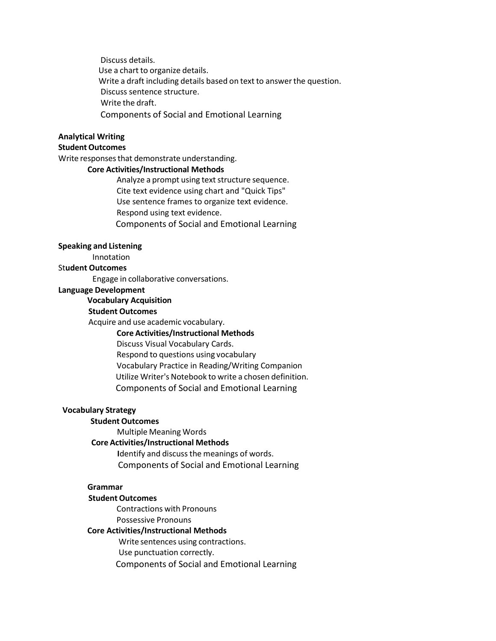Discuss details. Use a chart to organize details. Write a draft including details based on text to answer the question. Discuss sentence structure. Write the draft. Components of Social and Emotional Learning

# **Analytical Writing**

# **Student Outcomes**

Write responses that demonstrate understanding.

#### **Core Activities/Instructional Methods**

Analyze a prompt using text structure sequence. Cite text evidence using chart and "Quick Tips" Use sentence frames to organize text evidence. Respond using text evidence. Components of Social and Emotional Learning

#### **Speaking and Listening**

Innotation

# St**udent Outcomes**

Engage in collaborative conversations.

# **Language Development**

# **Vocabulary Acquisition**

#### **Student Outcomes**

Acquire and use academic vocabulary.

#### **Core Activities/Instructional Methods**

Discuss Visual Vocabulary Cards.

Respond to questions using vocabulary Vocabulary Practice in Reading/Writing Companion Utilize Writer's Notebook to write a chosen definition. Components of Social and Emotional Learning

#### **Vocabulary Strategy**

# **Student Outcomes**

Multiple Meaning Words

# **Core Activities/Instructional Methods**

**I**dentify and discussthe meanings of words. Components of Social and Emotional Learning

# **Grammar**

#### **Student Outcomes**

Contractions with Pronouns Possessive Pronouns

#### **Core Activities/Instructional Methods**

Write sentences using contractions.

Use punctuation correctly.

Components of Social and Emotional Learning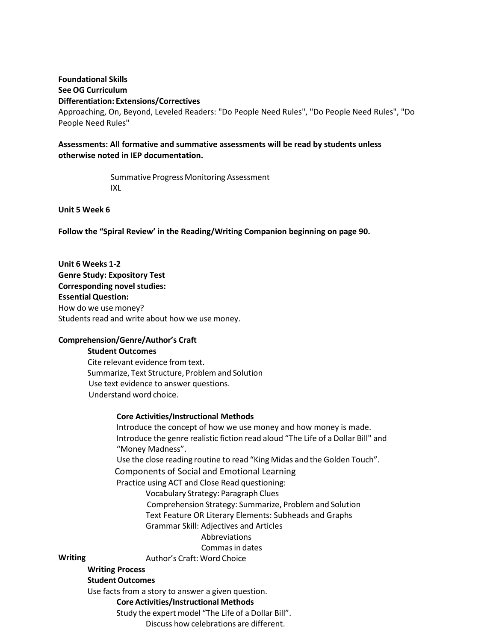# **Foundational Skills See OG Curriculum Differentiation: Extensions/Correctives**

Approaching, On, Beyond, Leveled Readers: "Do People Need Rules", "Do People Need Rules", "Do People Need Rules"

# **Assessments: All formative and summative assessments will be read by students unless otherwise noted in IEP documentation.**

Summative Progress Monitoring Assessment IXL

**Unit 5 Week 6**

**Writing**

**Follow the "Spiral Review' in the Reading/Writing Companion beginning on page 90.**

**Unit 6 Weeks 1-2 Genre Study: Expository Test Corresponding novel studies: Essential Question:** How do we use money? Students read and write about how we use money.

# **Comprehension/Genre/Author's Craft**

#### **Student Outcomes**

Cite relevant evidence from text. Summarize, Text Structure, Problem and Solution Use text evidence to answer questions. Understand word choice.

# **Core Activities/Instructional Methods**

Introduce the concept of how we use money and how money is made. Introduce the genre realistic fiction read aloud "The Life of a Dollar Bill" and "Money Madness". Use the close reading routine to read "King Midas and the Golden Touch". Components of Social and Emotional Learning Practice using ACT and Close Read questioning: Vocabulary Strategy: Paragraph Clues Comprehension Strategy: Summarize, Problem and Solution Text Feature OR Literary Elements: Subheads and Graphs Grammar Skill: Adjectives and Articles Abbreviations Commas in dates Author's Craft: Word Choice **Writing Process Student Outcomes** 

Use facts from a story to answer a given question.

**Core Activities/Instructional Methods**

Study the expert model "The Life of a Dollar Bill".

Discuss how celebrations are different.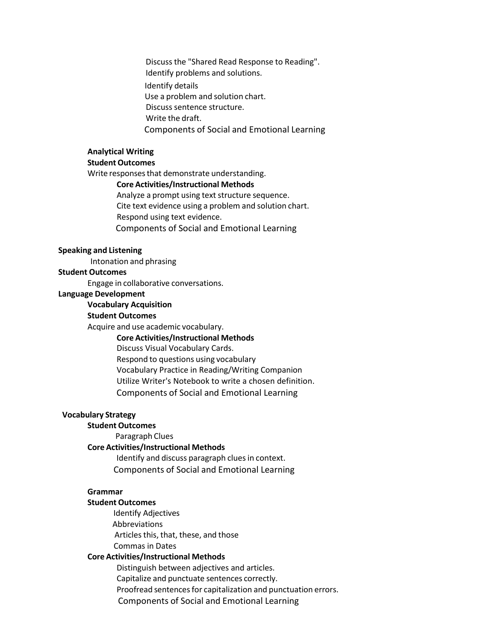Discuss the "Shared Read Response to Reading". Identify problems and solutions. Identify details Use a problem and solution chart. Discuss sentence structure. Write the draft. Components of Social and Emotional Learning

# **Analytical Writing**

#### **Student Outcomes**

Write responses that demonstrate understanding.

# **Core Activities/Instructional Methods**

Analyze a prompt using text structure sequence. Cite text evidence using a problem and solution chart. Respond using text evidence. Components of Social and Emotional Learning

#### **Speaking and Listening**

Intonation and phrasing

# **Student Outcomes**

Engage in collaborative conversations.

#### **Language Development**

#### **Vocabulary Acquisition**

#### **Student Outcomes**

Acquire and use academic vocabulary.

# **Core Activities/Instructional Methods**

Discuss Visual Vocabulary Cards.

Respond to questions using vocabulary Vocabulary Practice in Reading/Writing Companion Utilize Writer's Notebook to write a chosen definition. Components of Social and Emotional Learning

#### **Vocabulary Strategy**

#### **Student Outcomes**

Paragraph Clues

#### **Core Activities/Instructional Methods**

Identify and discuss paragraph clues in context. Components of Social and Emotional Learning

#### **Grammar**

#### **Student Outcomes**

Identify Adjectives Abbreviations Articles this, that, these, and those Commas in Dates

#### **Core Activities/Instructional Methods**

Distinguish between adjectives and articles. Capitalize and punctuate sentences correctly. Proofread sentences for capitalization and punctuation errors. Components of Social and Emotional Learning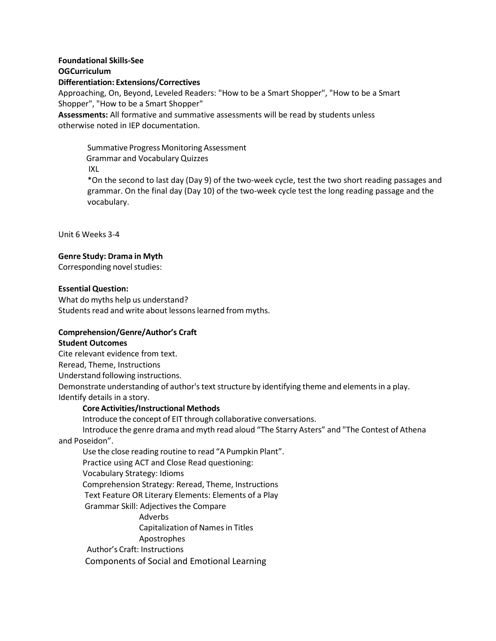# **Foundational Skills-See OGCurriculum Differentiation: Extensions/Correctives** Approaching, On, Beyond, Leveled Readers: "How to be a Smart Shopper", "How to be a Smart Shopper", "How to be a Smart Shopper" **Assessments:** All formative and summative assessments will be read by students unless otherwise noted in IEP documentation.

Summative Progress Monitoring Assessment Grammar and Vocabulary Quizzes IXL \*On the second to last day (Day 9) of the two-week cycle, test the two short reading passages and grammar. On the final day (Day 10) of the two-week cycle test the long reading passage and the vocabulary.

Unit 6 Weeks 3-4

# **Genre Study: Drama in Myth**

Corresponding novel studies:

#### **Essential Question:**

What do myths help us understand? Students read and write about lessons learned from myths.

# **Comprehension/Genre/Author's Craft**

#### **Student Outcomes**

Cite relevant evidence from text. Reread, Theme, Instructions Understand following instructions. Demonstrate understanding of author's text structure by identifying theme and elements in a play. Identify details in a story.

# **Core Activities/Instructional Methods**

Introduce the concept of EIT through collaborative conversations.

Introduce the genre drama and myth read aloud "The Starry Asters" and "The Contest of Athena and Poseidon".

Use the close reading routine to read "A Pumpkin Plant". Practice using ACT and Close Read questioning: Vocabulary Strategy: Idioms Comprehension Strategy: Reread, Theme, Instructions Text Feature OR Literary Elements: Elements of a Play Grammar Skill: Adjectives the Compare Adverbs Capitalization of Namesin Titles

Apostrophes

Author's Craft: Instructions

Components of Social and Emotional Learning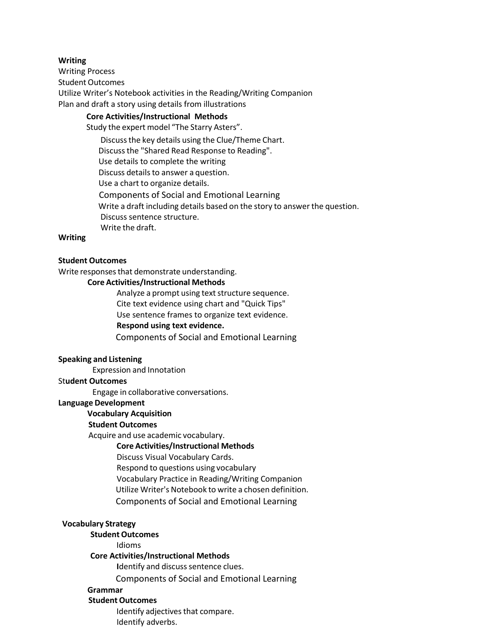#### **Writing**

Writing Process Student Outcomes Utilize Writer's Notebook activities in the Reading/Writing Companion Plan and draft a story using details from illustrations

# **Core Activities/Instructional Methods**

Study the expert model "The Starry Asters".

Discussthe key details using the Clue/Theme Chart.

Discussthe "Shared Read Response to Reading".

Use details to complete the writing

Discuss details to answer a question.

Use a chart to organize details.

Components of Social and Emotional Learning Write a draft including details based on the story to answer the question.

Discuss sentence structure.

Write the draft.

#### **Writing**

#### **Student Outcomes**

Write responses that demonstrate understanding.

#### **Core Activities/Instructional Methods**

Analyze a prompt using text structure sequence. Cite text evidence using chart and "Quick Tips" Use sentence frames to organize text evidence.

# **Respond using text evidence.**

Components of Social and Emotional Learning

#### **Speaking and Listening**

Expression and Innotation

#### St**udent Outcomes**

Engage in collaborative conversations.

#### **Language Development**

# **Vocabulary Acquisition**

#### **Student Outcomes**

Acquire and use academic vocabulary.

#### **Core Activities/Instructional Methods**

Discuss Visual Vocabulary Cards.

Respond to questions using vocabulary

Vocabulary Practice in Reading/Writing Companion

Utilize Writer's Notebook to write a chosen definition.

Components of Social and Emotional Learning

#### **Vocabulary Strategy**

#### **Student Outcomes**

Idioms

# **Core Activities/Instructional Methods**

**Identify and discuss sentence clues.** 

Components of Social and Emotional Learning

# **Grammar**

# **Student Outcomes**

Identify adjectives that compare. Identify adverbs.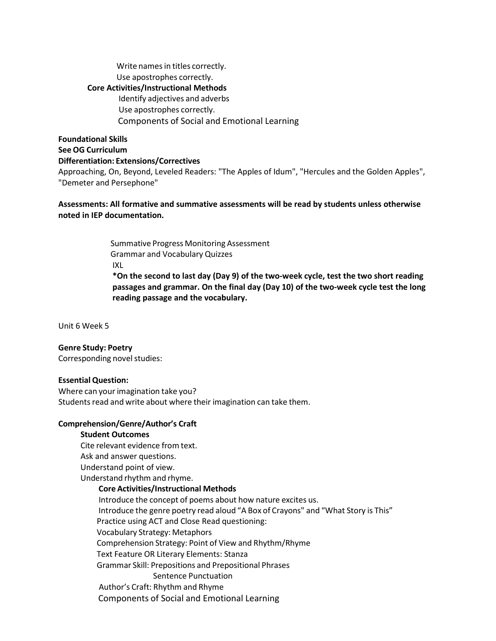Write names in titles correctly. Use apostrophes correctly. **Core Activities/Instructional Methods** Identify adjectives and adverbs Use apostrophes correctly. Components of Social and Emotional Learning

# **Foundational Skills See OG Curriculum Differentiation: Extensions/Correctives**

Approaching, On, Beyond, Leveled Readers: "The Apples of Idum", "Hercules and the Golden Apples", "Demeter and Persephone"

# **Assessments: All formative and summative assessments will be read by students unless otherwise noted in IEP documentation.**

Summative Progress Monitoring Assessment Grammar and Vocabulary Quizzes IXL **\*On the second to last day (Day 9) of the two-week cycle, test the two short reading passages and grammar. On the final day (Day 10) of the two-week cycle test the long reading passage and the vocabulary.**

Unit 6 Week 5

#### **Genre Study: Poetry**

Corresponding novel studies:

#### **Essential Question:**

Where can your imagination take you? Students read and write about where their imagination can take them.

#### **Comprehension/Genre/Author's Craft**

#### **Student Outcomes**

Cite relevant evidence from text. Ask and answer questions. Understand point of view. Understand rhythm and rhyme.

# **Core Activities/Instructional Methods**

Introduce the concept of poems about how nature excites us. Introduce the genre poetry read aloud "A Box of Crayons" and "What Story is This" Practice using ACT and Close Read questioning: Vocabulary Strategy: Metaphors Comprehension Strategy: Point of View and Rhythm/Rhyme Text Feature OR Literary Elements: Stanza Grammar Skill: Prepositions and Prepositional Phrases Sentence Punctuation Author's Craft: Rhythm and Rhyme Components of Social and Emotional Learning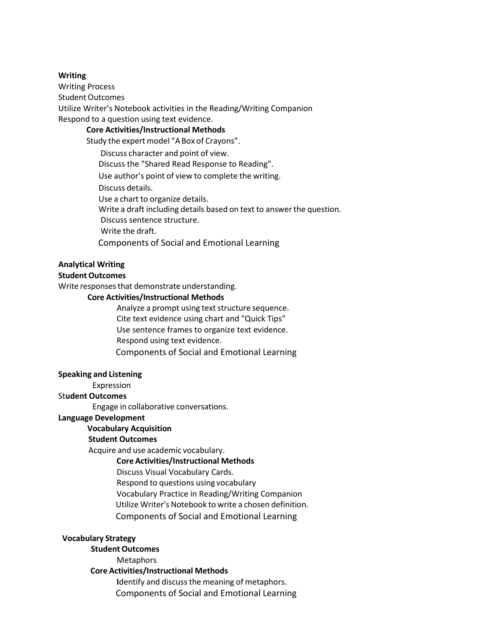#### **Writing**

Writing Process Student Outcomes Utilize Writer's Notebook activities in the Reading/Writing Companion Respond to a question using text evidence.

# **Core Activities/Instructional Methods**

Study the expert model "A Box of Crayons".

Discuss character and point of view.

Discuss the "Shared Read Response to Reading".

Use author's point of view to complete the writing.

Discuss details.

Use a chart to organize details.

Write a draft including details based on text to answer the question.

Discuss sentence structure.

Write the draft.

Components of Social and Emotional Learning

#### **Analytical Writing**

#### **Student Outcomes**

Write responses that demonstrate understanding.

#### **Core Activities/Instructional Methods**

Analyze a prompt using text structure sequence. Cite text evidence using chart and "Quick Tips" Use sentence frames to organize text evidence. Respond using text evidence. Components of Social and Emotional Learning

#### **Speaking and Listening**

#### Expression

#### St**udent Outcomes**

Engage in collaborative conversations.

#### **Language Development**

#### **Vocabulary Acquisition**

# **Student Outcomes**

Acquire and use academic vocabulary.

#### **Core Activities/Instructional Methods**

Discuss Visual Vocabulary Cards.

Respond to questions using vocabulary

Vocabulary Practice in Reading/Writing Companion

Utilize Writer's Notebook to write a chosen definition.

Components of Social and Emotional Learning

#### **Vocabulary Strategy**

# **Student Outcomes**

**Metaphors** 

# **Core Activities/Instructional Methods**

**I**dentify and discuss the meaning of metaphors. Components of Social and Emotional Learning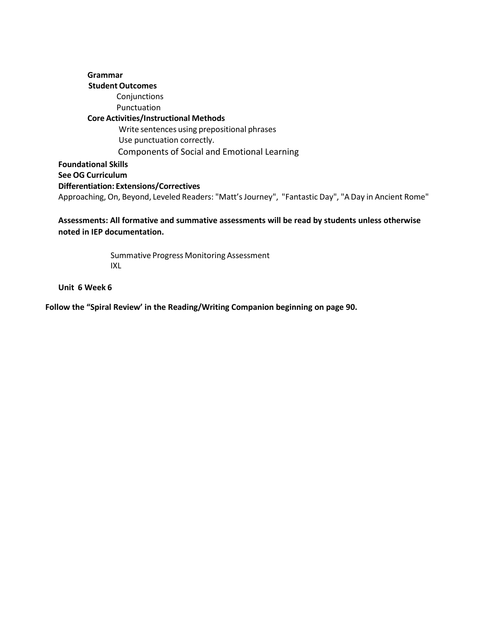**Grammar Student Outcomes** Conjunctions Punctuation **Core Activities/Instructional Methods** Write sentences using prepositional phrases Use punctuation correctly. Components of Social and Emotional Learning **Foundational Skills See OG Curriculum Differentiation: Extensions/Correctives** Approaching, On, Beyond, Leveled Readers: "Matt's Journey", "Fantastic Day", "A Day in Ancient Rome"

**Assessments: All formative and summative assessments will be read by students unless otherwise noted in IEP documentation.**

> Summative Progress Monitoring Assessment IXL

**Unit 6 Week 6**

**Follow the "Spiral Review' in the Reading/Writing Companion beginning on page 90.**